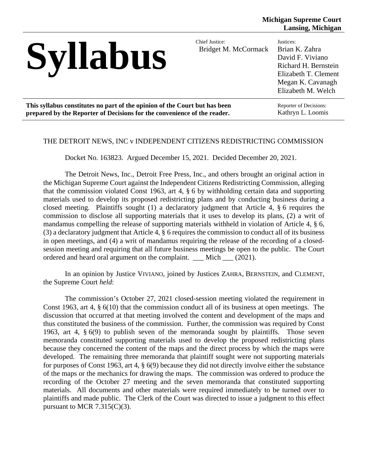| <b>Syllabus</b>                                                            | Chief Justice:<br>Bridget M. McCormack | Justices:<br>Brian K. Zahra<br>David F. Viviano<br>Richard H. Bernstein<br>Elizabeth T. Clement<br>Megan K. Cavanagh<br>Elizabeth M. Welch |
|----------------------------------------------------------------------------|----------------------------------------|--------------------------------------------------------------------------------------------------------------------------------------------|
| This syllabus constitutes no part of the opinion of the Court but has been |                                        | Reporter of Decisions:                                                                                                                     |
| prepared by the Reporter of Decisions for the convenience of the reader.   |                                        | Kathryn L. Loomis                                                                                                                          |

#### THE DETROIT NEWS, INC v INDEPENDENT CITIZENS REDISTRICTING COMMISSION

Docket No. 163823. Argued December 15, 2021. Decided December 20, 2021.

The Detroit News, Inc., Detroit Free Press, Inc., and others brought an original action in the Michigan Supreme Court against the Independent Citizens Redistricting Commission, alleging that the commission violated Const 1963, art 4, § 6 by withholding certain data and supporting materials used to develop its proposed redistricting plans and by conducting business during a closed meeting. Plaintiffs sought (1) a declaratory judgment that Article 4, § 6 requires the commission to disclose all supporting materials that it uses to develop its plans, (2) a writ of mandamus compelling the release of supporting materials withheld in violation of Article 4, § 6, (3) a declaratory judgment that Article 4, § 6 requires the commission to conduct all of its business in open meetings, and (4) a writ of mandamus requiring the release of the recording of a closedsession meeting and requiring that all future business meetings be open to the public. The Court ordered and heard oral argument on the complaint. \_\_\_ Mich \_\_\_ (2021).

In an opinion by Justice VIVIANO, joined by Justices ZAHRA, BERNSTEIN, and CLEMENT, the Supreme Court *held*:

The commission's October 27, 2021 closed-session meeting violated the requirement in Const 1963, art 4, § 6(10) that the commission conduct all of its business at open meetings. The discussion that occurred at that meeting involved the content and development of the maps and thus constituted the business of the commission. Further, the commission was required by Const 1963, art 4, § 6(9) to publish seven of the memoranda sought by plaintiffs. Those seven memoranda constituted supporting materials used to develop the proposed redistricting plans because they concerned the content of the maps and the direct process by which the maps were developed. The remaining three memoranda that plaintiff sought were not supporting materials for purposes of Const 1963, art 4, § 6(9) because they did not directly involve either the substance of the maps or the mechanics for drawing the maps. The commission was ordered to produce the recording of the October 27 meeting and the seven memoranda that constituted supporting materials. All documents and other materials were required immediately to be turned over to plaintiffs and made public. The Clerk of the Court was directed to issue a judgment to this effect pursuant to MCR  $7.315(C)(3)$ .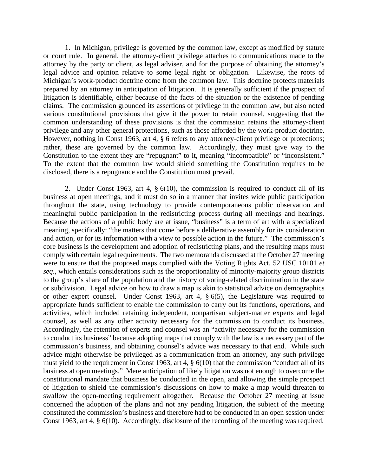1. In Michigan, privilege is governed by the common law, except as modified by statute or court rule. In general, the attorney-client privilege attaches to communications made to the attorney by the party or client, as legal adviser, and for the purpose of obtaining the attorney's legal advice and opinion relative to some legal right or obligation. Likewise, the roots of Michigan's work-product doctrine come from the common law. This doctrine protects materials prepared by an attorney in anticipation of litigation. It is generally sufficient if the prospect of litigation is identifiable, either because of the facts of the situation or the existence of pending claims. The commission grounded its assertions of privilege in the common law, but also noted various constitutional provisions that give it the power to retain counsel, suggesting that the common understanding of these provisions is that the commission retains the attorney-client privilege and any other general protections, such as those afforded by the work-product doctrine. However, nothing in Const 1963, art 4, § 6 refers to any attorney-client privilege or protections; rather, these are governed by the common law. Accordingly, they must give way to the Constitution to the extent they are "repugnant" to it, meaning "incompatible" or "inconsistent." To the extent that the common law would shield something the Constitution requires to be disclosed, there is a repugnance and the Constitution must prevail.

2. Under Const 1963, art 4, § 6(10), the commission is required to conduct all of its business at open meetings, and it must do so in a manner that invites wide public participation throughout the state, using technology to provide contemporaneous public observation and meaningful public participation in the redistricting process during all meetings and hearings. Because the actions of a public body are at issue, "business" is a term of art with a specialized meaning, specifically: "the matters that come before a deliberative assembly for its consideration and action, or for its information with a view to possible action in the future." The commission's core business is the development and adoption of redistricting plans, and the resulting maps must comply with certain legal requirements. The two memoranda discussed at the October 27 meeting were to ensure that the proposed maps complied with the Voting Rights Act, 52 USC 10101 *et seq*., which entails considerations such as the proportionality of minority-majority group districts to the group's share of the population and the history of voting-related discrimination in the state or subdivision. Legal advice on how to draw a map is akin to statistical advice on demographics or other expert counsel. Under Const 1963, art 4, § 6(5), the Legislature was required to appropriate funds sufficient to enable the commission to carry out its functions, operations, and activities, which included retaining independent, nonpartisan subject-matter experts and legal counsel, as well as any other activity necessary for the commission to conduct its business. Accordingly, the retention of experts and counsel was an "activity necessary for the commission to conduct its business" because adopting maps that comply with the law is a necessary part of the commission's business, and obtaining counsel's advice was necessary to that end. While such advice might otherwise be privileged as a communication from an attorney, any such privilege must yield to the requirement in Const 1963, art 4, § 6(10) that the commission "conduct all of its business at open meetings." Mere anticipation of likely litigation was not enough to overcome the constitutional mandate that business be conducted in the open, and allowing the simple prospect of litigation to shield the commission's discussions on how to make a map would threaten to swallow the open-meeting requirement altogether. Because the October 27 meeting at issue concerned the adoption of the plans and not any pending litigation, the subject of the meeting constituted the commission's business and therefore had to be conducted in an open session under Const 1963, art 4, § 6(10). Accordingly, disclosure of the recording of the meeting was required.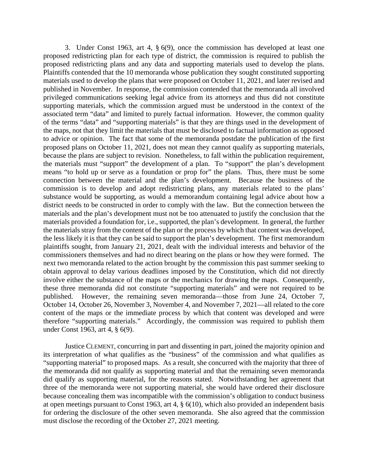3. Under Const 1963, art 4, § 6(9), once the commission has developed at least one proposed redistricting plan for each type of district, the commission is required to publish the proposed redistricting plans and any data and supporting materials used to develop the plans. Plaintiffs contended that the 10 memoranda whose publication they sought constituted supporting materials used to develop the plans that were proposed on October 11, 2021, and later revised and published in November. In response, the commission contended that the memoranda all involved privileged communications seeking legal advice from its attorneys and thus did not constitute supporting materials, which the commission argued must be understood in the context of the associated term "data" and limited to purely factual information. However, the common quality of the terms "data" and "supporting materials" is that they are things used in the development of the maps, not that they limit the materials that must be disclosed to factual information as opposed to advice or opinion. The fact that some of the memoranda postdate the publication of the first proposed plans on October 11, 2021, does not mean they cannot qualify as supporting materials, because the plans are subject to revision. Nonetheless, to fall within the publication requirement, the materials must "support" the development of a plan. To "support" the plan's development means "to hold up or serve as a foundation or prop for" the plans. Thus, there must be some connection between the material and the plan's development. Because the business of the commission is to develop and adopt redistricting plans, any materials related to the plans' substance would be supporting, as would a memorandum containing legal advice about how a district needs to be constructed in order to comply with the law. But the connection between the materials and the plan's development must not be too attenuated to justify the conclusion that the materials provided a foundation for, i.e., supported, the plan's development. In general, the further the materials stray from the content of the plan or the process by which that content was developed, the less likely it is that they can be said to support the plan's development. The first memorandum plaintiffs sought, from January 21, 2021, dealt with the individual interests and behavior of the commissioners themselves and had no direct bearing on the plans or how they were formed. The next two memoranda related to the action brought by the commission this past summer seeking to obtain approval to delay various deadlines imposed by the Constitution, which did not directly involve either the substance of the maps or the mechanics for drawing the maps. Consequently, these three memoranda did not constitute "supporting materials" and were not required to be published. However, the remaining seven memoranda—those from June 24, October 7, October 14, October 26, November 3, November 4, and November 7, 2021—all related to the core content of the maps or the immediate process by which that content was developed and were therefore "supporting materials." Accordingly, the commission was required to publish them under Const 1963, art 4, § 6(9).

Justice CLEMENT, concurring in part and dissenting in part, joined the majority opinion and its interpretation of what qualifies as the "business" of the commission and what qualifies as "supporting material" to proposed maps. As a result, she concurred with the majority that three of the memoranda did not qualify as supporting material and that the remaining seven memoranda did qualify as supporting material, for the reasons stated. Notwithstanding her agreement that three of the memoranda were not supporting material, she would have ordered their disclosure because concealing them was incompatible with the commission's obligation to conduct business at open meetings pursuant to Const 1963, art 4, § 6(10), which also provided an independent basis for ordering the disclosure of the other seven memoranda. She also agreed that the commission must disclose the recording of the October 27, 2021 meeting.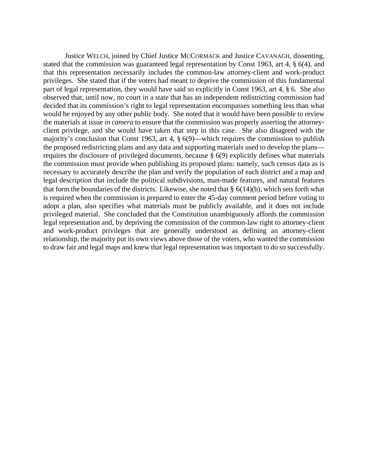Justice WELCH, joined by Chief Justice MCCORMACK and Justice CAVANAGH, dissenting, stated that the commission was guaranteed legal representation by Const 1963, art 4, § 6(4), and that this representation necessarily includes the common-law attorney-client and work-product privileges. She stated that if the voters had meant to deprive the commission of this fundamental part of legal representation, they would have said so explicitly in Const 1963, art 4, § 6. She also observed that, until now, no court in a state that has an independent redistricting commission had decided that its commission's right to legal representation encompasses something less than what would be enjoyed by any other public body. She noted that it would have been possible to review the materials at issue *in camera* to ensure that the commission was properly asserting the attorneyclient privilege, and she would have taken that step in this case. She also disagreed with the majority's conclusion that Const 1963, art 4, § 6(9)—which requires the commission to publish the proposed redistricting plans and any data and supporting materials used to develop the plans requires the disclosure of privileged documents, because § 6(9) explicitly defines what materials the commission must provide when publishing its proposed plans: namely, such census data as is necessary to accurately describe the plan and verify the population of each district and a map and legal description that include the political subdivisions, man-made features, and natural features that form the boundaries of the districts. Likewise, she noted that  $\S$  6(14)(b), which sets forth what is required when the commission is prepared to enter the 45-day comment period before voting to adopt a plan, also specifies what materials must be publicly available, and it does not include privileged material. She concluded that the Constitution unambiguously affords the commission legal representation and, by depriving the commission of the common-law right to attorney-client and work-product privileges that are generally understood as defining an attorney-client relationship, the majority put its own views above those of the voters, who wanted the commission to draw fair and legal maps and knew that legal representation was important to do so successfully.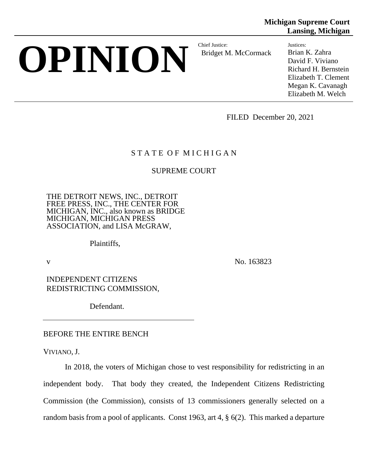# **OPINION** Bridget M

Bridget M. McCormack

**Michigan Supreme Court Lansing, Michigan**

> Justices: Brian K. Zahra David F. Viviano Richard H. Bernstein Elizabeth T. Clement Megan K. Cavanagh Elizabeth M. Welch

FILED December 20, 2021

# STATE OF MICHIGAN

# SUPREME COURT

THE DETROIT NEWS, INC., DETROIT FREE PRESS, INC., THE CENTER FOR MICHIGAN, INC., also known as BRIDGE MICHIGAN, MICHIGAN PRESS ASSOCIATION, and LISA McGRAW,

Plaintiffs,

v No. 163823

INDEPENDENT CITIZENS REDISTRICTING COMMISSION,

Defendant.

# BEFORE THE ENTIRE BENCH

VIVIANO, J.

In 2018, the voters of Michigan chose to vest responsibility for redistricting in an independent body. That body they created, the Independent Citizens Redistricting Commission (the Commission), consists of 13 commissioners generally selected on a random basis from a pool of applicants. Const 1963, art 4, § 6(2). This marked a departure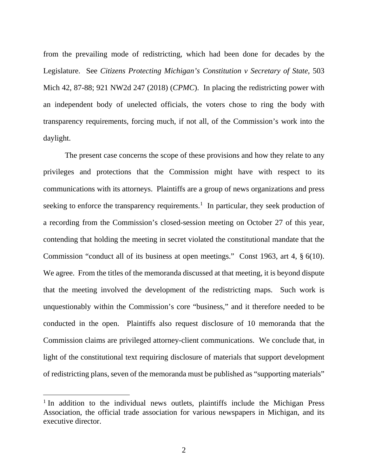from the prevailing mode of redistricting, which had been done for decades by the Legislature. See *Citizens Protecting Michigan's Constitution v Secretary of State*, 503 Mich 42, 87-88; 921 NW2d 247 (2018) (*CPMC*). In placing the redistricting power with an independent body of unelected officials, the voters chose to ring the body with transparency requirements, forcing much, if not all, of the Commission's work into the daylight.

The present case concerns the scope of these provisions and how they relate to any privileges and protections that the Commission might have with respect to its communications with its attorneys. Plaintiffs are a group of news organizations and press seeking to enforce the transparency requirements.<sup>[1](#page-5-0)</sup> In particular, they seek production of a recording from the Commission's closed-session meeting on October 27 of this year, contending that holding the meeting in secret violated the constitutional mandate that the Commission "conduct all of its business at open meetings." Const 1963, art 4, § 6(10). We agree. From the titles of the memoranda discussed at that meeting, it is beyond dispute that the meeting involved the development of the redistricting maps. Such work is unquestionably within the Commission's core "business," and it therefore needed to be conducted in the open. Plaintiffs also request disclosure of 10 memoranda that the Commission claims are privileged attorney-client communications. We conclude that, in light of the constitutional text requiring disclosure of materials that support development of redistricting plans, seven of the memoranda must be published as "supporting materials"

<span id="page-5-0"></span><sup>&</sup>lt;sup>1</sup> In addition to the individual news outlets, plaintiffs include the Michigan Press Association, the official trade association for various newspapers in Michigan, and its executive director.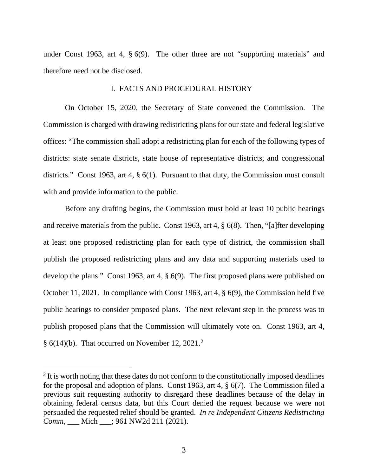under Const 1963, art 4, § 6(9). The other three are not "supporting materials" and therefore need not be disclosed.

#### I. FACTS AND PROCEDURAL HISTORY

On October 15, 2020, the Secretary of State convened the Commission. The Commission is charged with drawing redistricting plans for our state and federal legislative offices: "The commission shall adopt a redistricting plan for each of the following types of districts: state senate districts, state house of representative districts, and congressional districts." Const 1963, art 4, § 6(1). Pursuant to that duty, the Commission must consult with and provide information to the public.

Before any drafting begins, the Commission must hold at least 10 public hearings and receive materials from the public. Const 1963, art 4, § 6(8). Then, "[a]fter developing at least one proposed redistricting plan for each type of district, the commission shall publish the proposed redistricting plans and any data and supporting materials used to develop the plans." Const 1963, art 4, § 6(9). The first proposed plans were published on October 11, 2021. In compliance with Const 1963, art 4, § 6(9), the Commission held five public hearings to consider proposed plans. The next relevant step in the process was to publish proposed plans that the Commission will ultimately vote on. Const 1963, art 4,  $§ 6(14)(b)$ . That occurred on November 1[2](#page-6-0), 2021.<sup>2</sup>

<span id="page-6-0"></span> $2$  It is worth noting that these dates do not conform to the constitutionally imposed deadlines for the proposal and adoption of plans. Const 1963, art 4, § 6(7). The Commission filed a previous suit requesting authority to disregard these deadlines because of the delay in obtaining federal census data, but this Court denied the request because we were not persuaded the requested relief should be granted. *In re Independent Citizens Redistricting Comm*, \_\_\_ Mich \_\_\_; 961 NW2d 211 (2021).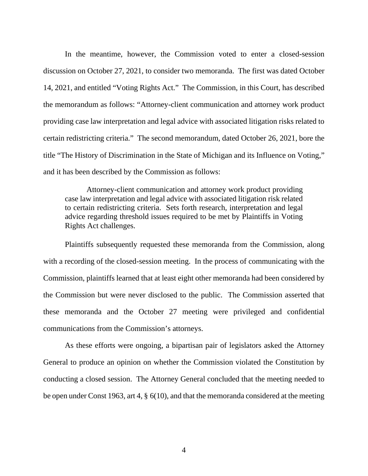In the meantime, however, the Commission voted to enter a closed-session discussion on October 27, 2021, to consider two memoranda. The first was dated October 14, 2021, and entitled "Voting Rights Act." The Commission, in this Court, has described the memorandum as follows: "Attorney-client communication and attorney work product providing case law interpretation and legal advice with associated litigation risks related to certain redistricting criteria." The second memorandum, dated October 26, 2021, bore the title "The History of Discrimination in the State of Michigan and its Influence on Voting," and it has been described by the Commission as follows:

Attorney-client communication and attorney work product providing case law interpretation and legal advice with associated litigation risk related to certain redistricting criteria. Sets forth research, interpretation and legal advice regarding threshold issues required to be met by Plaintiffs in Voting Rights Act challenges.

Plaintiffs subsequently requested these memoranda from the Commission, along with a recording of the closed-session meeting. In the process of communicating with the Commission, plaintiffs learned that at least eight other memoranda had been considered by the Commission but were never disclosed to the public. The Commission asserted that these memoranda and the October 27 meeting were privileged and confidential communications from the Commission's attorneys.

As these efforts were ongoing, a bipartisan pair of legislators asked the Attorney General to produce an opinion on whether the Commission violated the Constitution by conducting a closed session. The Attorney General concluded that the meeting needed to be open under Const 1963, art 4, § 6(10), and that the memoranda considered at the meeting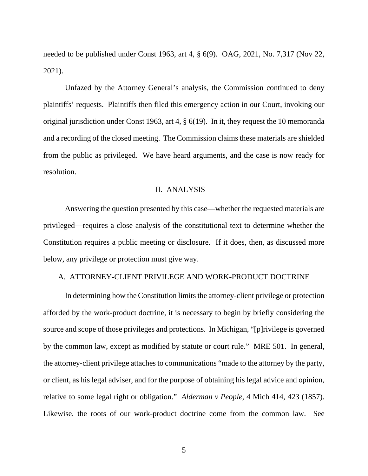needed to be published under Const 1963, art 4, § 6(9). OAG, 2021, No. 7,317 (Nov 22, 2021).

Unfazed by the Attorney General's analysis, the Commission continued to deny plaintiffs' requests. Plaintiffs then filed this emergency action in our Court, invoking our original jurisdiction under Const 1963, art 4, § 6(19). In it, they request the 10 memoranda and a recording of the closed meeting. The Commission claims these materials are shielded from the public as privileged. We have heard arguments, and the case is now ready for resolution.

#### II. ANALYSIS

Answering the question presented by this case—whether the requested materials are privileged—requires a close analysis of the constitutional text to determine whether the Constitution requires a public meeting or disclosure. If it does, then, as discussed more below, any privilege or protection must give way.

#### A. ATTORNEY-CLIENT PRIVILEGE AND WORK-PRODUCT DOCTRINE

In determining how the Constitution limits the attorney-client privilege or protection afforded by the work-product doctrine, it is necessary to begin by briefly considering the source and scope of those privileges and protections. In Michigan, "[p]rivilege is governed by the common law, except as modified by statute or court rule." MRE 501. In general, the attorney-client privilege attaches to communications "made to the attorney by the party, or client, as his legal adviser, and for the purpose of obtaining his legal advice and opinion, relative to some legal right or obligation." *Alderman v People*, 4 Mich 414, 423 (1857). Likewise, the roots of our work-product doctrine come from the common law. See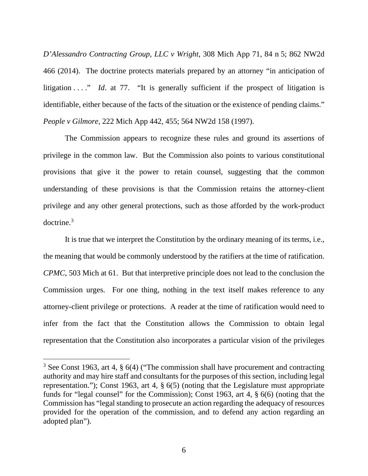*D'Alessandro Contracting Group, LLC v Wright*, 308 Mich App 71, 84 n 5; 862 NW2d 466 (2014). The doctrine protects materials prepared by an attorney "in anticipation of litigation . . . " *Id*. at 77. "It is generally sufficient if the prospect of litigation is identifiable, either because of the facts of the situation or the existence of pending claims." *People v Gilmore*, 222 Mich App 442, 455; 564 NW2d 158 (1997).

The Commission appears to recognize these rules and ground its assertions of privilege in the common law. But the Commission also points to various constitutional provisions that give it the power to retain counsel, suggesting that the common understanding of these provisions is that the Commission retains the attorney-client privilege and any other general protections, such as those afforded by the work-product doctrine.[3](#page-9-0)

It is true that we interpret the Constitution by the ordinary meaning of its terms, i.e., the meaning that would be commonly understood by the ratifiers at the time of ratification. *CPMC*, 503 Mich at 61. But that interpretive principle does not lead to the conclusion the Commission urges. For one thing, nothing in the text itself makes reference to any attorney-client privilege or protections. A reader at the time of ratification would need to infer from the fact that the Constitution allows the Commission to obtain legal representation that the Constitution also incorporates a particular vision of the privileges

<span id="page-9-0"></span><sup>&</sup>lt;sup>3</sup> See Const 1963, art 4, § 6(4) ("The commission shall have procurement and contracting authority and may hire staff and consultants for the purposes of this section, including legal representation."); Const 1963, art 4, § 6(5) (noting that the Legislature must appropriate funds for "legal counsel" for the Commission); Const 1963, art 4, § 6(6) (noting that the Commission has "legal standing to prosecute an action regarding the adequacy of resources provided for the operation of the commission, and to defend any action regarding an adopted plan").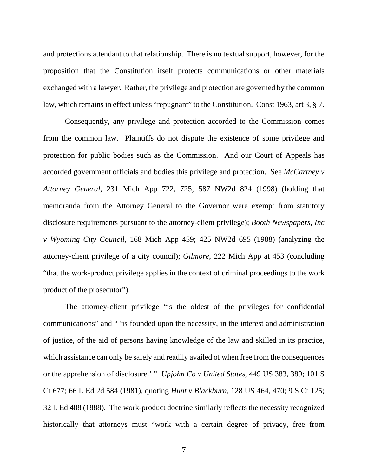and protections attendant to that relationship. There is no textual support, however, for the proposition that the Constitution itself protects communications or other materials exchanged with a lawyer. Rather, the privilege and protection are governed by the common law, which remains in effect unless "repugnant" to the Constitution. Const 1963, art 3, § 7.

Consequently, any privilege and protection accorded to the Commission comes from the common law. Plaintiffs do not dispute the existence of some privilege and protection for public bodies such as the Commission. And our Court of Appeals has accorded government officials and bodies this privilege and protection. See *McCartney v Attorney General*, 231 Mich App 722, 725; 587 NW2d 824 (1998) (holding that memoranda from the Attorney General to the Governor were exempt from statutory disclosure requirements pursuant to the attorney-client privilege); *Booth Newspapers, Inc v Wyoming City Council*, 168 Mich App 459; 425 NW2d 695 (1988) (analyzing the attorney-client privilege of a city council); *Gilmore*, 222 Mich App at 453 (concluding "that the work-product privilege applies in the context of criminal proceedings to the work product of the prosecutor").

The attorney-client privilege "is the oldest of the privileges for confidential communications" and " 'is founded upon the necessity, in the interest and administration of justice, of the aid of persons having knowledge of the law and skilled in its practice, which assistance can only be safely and readily availed of when free from the consequences or the apprehension of disclosure.' " *Upjohn Co v United States*, 449 US 383, 389; 101 S Ct 677; 66 L Ed 2d 584 (1981), quoting *Hunt v Blackburn*, 128 US 464, 470; 9 S Ct 125; 32 L Ed 488 (1888). The work-product doctrine similarly reflects the necessity recognized historically that attorneys must "work with a certain degree of privacy, free from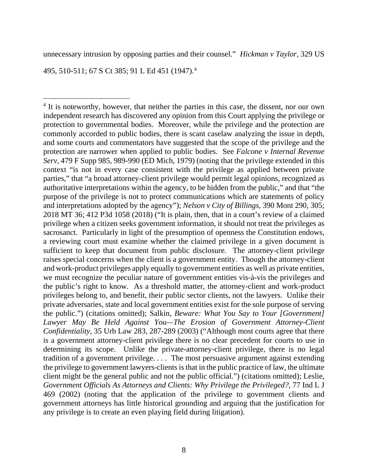unnecessary intrusion by opposing parties and their counsel." *Hickman v Taylor*, 329 US

495, 510-511; 67 S Ct 385; 91 L Ed 451 (1947).[4](#page-11-0)

<span id="page-11-0"></span> $4$  It is noteworthy, however, that neither the parties in this case, the dissent, nor our own independent research has discovered any opinion from this Court applying the privilege or protection to governmental bodies. Moreover, while the privilege and the protection are commonly accorded to public bodies, there is scant caselaw analyzing the issue in depth, and some courts and commentators have suggested that the scope of the privilege and the protection are narrower when applied to public bodies. See *Falcone v Internal Revenue Serv*, 479 F Supp 985, 989-990 (ED Mich, 1979) (noting that the privilege extended in this context "is not in every case consistent with the privilege as applied between private parties," that "a broad attorney-client privilege would permit legal opinions, recognized as authoritative interpretations within the agency, to be hidden from the public," and that "the purpose of the privilege is not to protect communications which are statements of policy and interpretations adopted by the agency"); *Nelson v City of Billings*, 390 Mont 290, 305; 2018 MT 36; 412 P3d 1058 (2018) ("It is plain, then, that in a court's review of a claimed privilege when a citizen seeks government information, it should not treat the privileges as sacrosanct. Particularly in light of the presumption of openness the Constitution endows, a reviewing court must examine whether the claimed privilege in a given document is sufficient to keep that document from public disclosure. The attorney-client privilege raises special concerns when the client is a government entity. Though the attorney-client and work-product privileges apply equally to government entities as well as private entities, we must recognize the peculiar nature of government entities vis-à-vis the privileges and the public's right to know. As a threshold matter, the attorney-client and work-product privileges belong to, and benefit, their public sector clients, not the lawyers. Unlike their private adversaries, state and local government entities exist for the sole purpose of serving the public.") (citations omitted); Salkin, *Beware: What You Say to Your [Government] Lawyer May Be Held Against You—The Erosion of Government Attorney-Client Confidentiality*, 35 Urb Law 283, 287-289 (2003) ("Although most courts agree that there is a government attorney-client privilege there is no clear precedent for courts to use in determining its scope. Unlike the private-attorney-client privilege, there is no legal tradition of a government privilege. . . . The most persuasive argument against extending the privilege to government lawyers-clients is that in the public practice of law, the ultimate client might be the general public and not the public official.") (citations omitted); Leslie, *Government Officials As Attorneys and Clients: Why Privilege the Privileged?*, 77 Ind L J 469 (2002) (noting that the application of the privilege to government clients and government attorneys has little historical grounding and arguing that the justification for any privilege is to create an even playing field during litigation).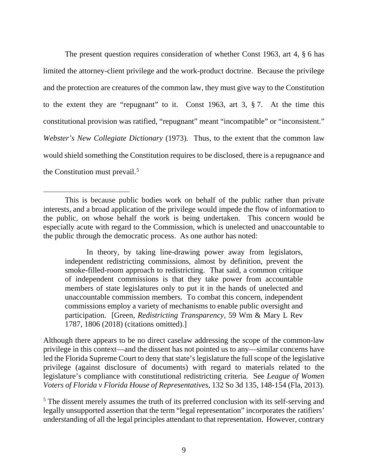The present question requires consideration of whether Const 1963, art 4, § 6 has limited the attorney-client privilege and the work-product doctrine. Because the privilege and the protection are creatures of the common law, they must give way to the Constitution to the extent they are "repugnant" to it. Const 1963, art 3, § 7. At the time this constitutional provision was ratified, "repugnant" meant "incompatible" or "inconsistent." *Webster's New Collegiate Dictionary* (1973). Thus, to the extent that the common law would shield something the Constitution requires to be disclosed, there is a repugnance and the Constitution must prevail.<sup>[5](#page-12-0)</sup>

 $\overline{a}$ 

In theory, by taking line-drawing power away from legislators, independent redistricting commissions, almost by definition, prevent the smoke-filled-room approach to redistricting. That said, a common critique of independent commissions is that they take power from accountable members of state legislatures only to put it in the hands of unelected and unaccountable commission members. To combat this concern, independent commissions employ a variety of mechanisms to enable public oversight and participation. [Green, *Redistricting Transparency*, 59 Wm & Mary L Rev 1787, 1806 (2018) (citations omitted).]

Although there appears to be no direct caselaw addressing the scope of the common-law privilege in this context—and the dissent has not pointed us to any—similar concerns have led the Florida Supreme Court to deny that state's legislature the full scope of the legislative privilege (against disclosure of documents) with regard to materials related to the legislature's compliance with constitutional redistricting criteria. See *League of Women Voters of Florida v Florida House of Representatives*, 132 So 3d 135, 148-154 (Fla, 2013).

<span id="page-12-0"></span><sup>5</sup> The dissent merely assumes the truth of its preferred conclusion with its self-serving and legally unsupported assertion that the term "legal representation" incorporates the ratifiers' understanding of all the legal principles attendant to that representation. However, contrary

This is because public bodies work on behalf of the public rather than private interests, and a broad application of the privilege would impede the flow of information to the public, on whose behalf the work is being undertaken. This concern would be especially acute with regard to the Commission, which is unelected and unaccountable to the public through the democratic process. As one author has noted: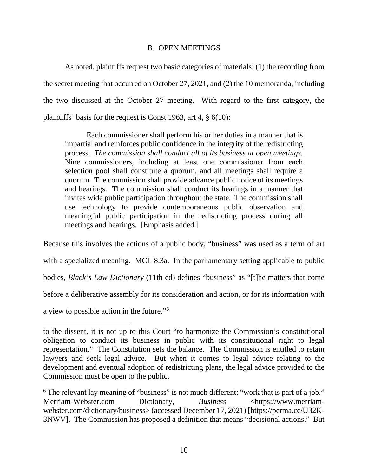## B. OPEN MEETINGS

As noted, plaintiffs request two basic categories of materials: (1) the recording from the secret meeting that occurred on October 27, 2021, and (2) the 10 memoranda, including the two discussed at the October 27 meeting. With regard to the first category, the plaintiffs' basis for the request is Const 1963, art 4, § 6(10):

Each commissioner shall perform his or her duties in a manner that is impartial and reinforces public confidence in the integrity of the redistricting process. *The commission shall conduct all of its business at open meetings.* Nine commissioners, including at least one commissioner from each selection pool shall constitute a quorum, and all meetings shall require a quorum. The commission shall provide advance public notice of its meetings and hearings. The commission shall conduct its hearings in a manner that invites wide public participation throughout the state. The commission shall use technology to provide contemporaneous public observation and meaningful public participation in the redistricting process during all meetings and hearings. [Emphasis added.]

Because this involves the actions of a public body, "business" was used as a term of art with a specialized meaning. MCL 8.3a. In the parliamentary setting applicable to public bodies, *Black's Law Dictionary* (11th ed) defines "business" as "[t]he matters that come before a deliberative assembly for its consideration and action, or for its information with a view to possible action in the future."[6](#page-13-0)

to the dissent, it is not up to this Court "to harmonize the Commission's constitutional obligation to conduct its business in public with its constitutional right to legal representation." The Constitution sets the balance. The Commission is entitled to retain lawyers and seek legal advice. But when it comes to legal advice relating to the development and eventual adoption of redistricting plans, the legal advice provided to the Commission must be open to the public.

<span id="page-13-0"></span><sup>&</sup>lt;sup>6</sup> The relevant lay meaning of "business" is not much different: "work that is part of a job." Merriam-Webster.com Dictionary, *Business* <https://www.merriamwebster.com/dictionary/business> (accessed December 17, 2021) [https://perma.cc/U32K-3NWV]. The Commission has proposed a definition that means "decisional actions." But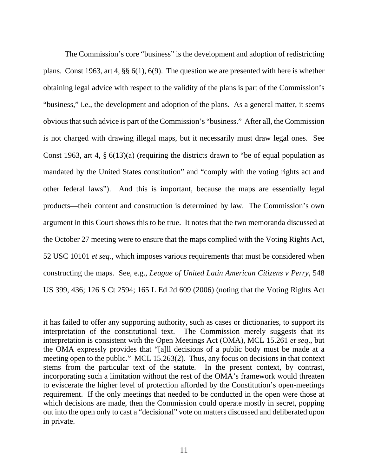The Commission's core "business" is the development and adoption of redistricting plans. Const 1963, art 4, §§ 6(1), 6(9). The question we are presented with here is whether obtaining legal advice with respect to the validity of the plans is part of the Commission's "business," i.e., the development and adoption of the plans. As a general matter, it seems obvious that such advice is part of the Commission's "business." After all, the Commission is not charged with drawing illegal maps, but it necessarily must draw legal ones. See Const 1963, art 4,  $\S 6(13)(a)$  (requiring the districts drawn to "be of equal population as mandated by the United States constitution" and "comply with the voting rights act and other federal laws"). And this is important, because the maps are essentially legal products—their content and construction is determined by law. The Commission's own argument in this Court shows this to be true. It notes that the two memoranda discussed at the October 27 meeting were to ensure that the maps complied with the Voting Rights Act, 52 USC 10101 *et seq*., which imposes various requirements that must be considered when constructing the maps. See, e.g., *League of United Latin American Citizens v Perry*, 548 US 399, 436; 126 S Ct 2594; 165 L Ed 2d 609 (2006) (noting that the Voting Rights Act

it has failed to offer any supporting authority, such as cases or dictionaries, to support its interpretation of the constitutional text. The Commission merely suggests that its interpretation is consistent with the Open Meetings Act (OMA), MCL 15.261 *et seq*., but the OMA expressly provides that "[a]ll decisions of a public body must be made at a meeting open to the public." MCL 15.263(2). Thus, any focus on decisions in that context stems from the particular text of the statute. In the present context, by contrast, incorporating such a limitation without the rest of the OMA's framework would threaten to eviscerate the higher level of protection afforded by the Constitution's open-meetings requirement. If the only meetings that needed to be conducted in the open were those at which decisions are made, then the Commission could operate mostly in secret, popping out into the open only to cast a "decisional" vote on matters discussed and deliberated upon in private.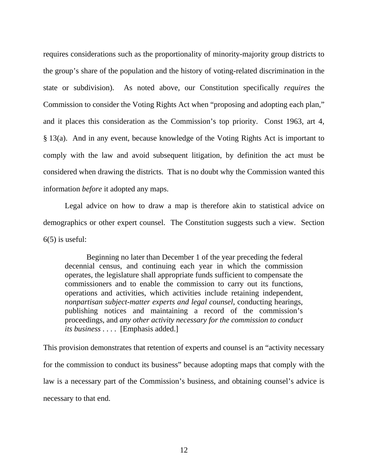requires considerations such as the proportionality of minority-majority group districts to the group's share of the population and the history of voting-related discrimination in the state or subdivision). As noted above, our Constitution specifically *requires* the Commission to consider the Voting Rights Act when "proposing and adopting each plan," and it places this consideration as the Commission's top priority. Const 1963, art 4, § 13(a). And in any event, because knowledge of the Voting Rights Act is important to comply with the law and avoid subsequent litigation, by definition the act must be considered when drawing the districts. That is no doubt why the Commission wanted this information *before* it adopted any maps.

Legal advice on how to draw a map is therefore akin to statistical advice on demographics or other expert counsel. The Constitution suggests such a view. Section  $6(5)$  is useful:

Beginning no later than December 1 of the year preceding the federal decennial census, and continuing each year in which the commission operates, the legislature shall appropriate funds sufficient to compensate the commissioners and to enable the commission to carry out its functions, operations and activities, which activities include retaining independent, *nonpartisan subject-matter experts and legal counsel*, conducting hearings, publishing notices and maintaining a record of the commission's proceedings, and *any other activity necessary for the commission to conduct its business* . . . . [Emphasis added.]

This provision demonstrates that retention of experts and counsel is an "activity necessary for the commission to conduct its business" because adopting maps that comply with the law is a necessary part of the Commission's business, and obtaining counsel's advice is necessary to that end.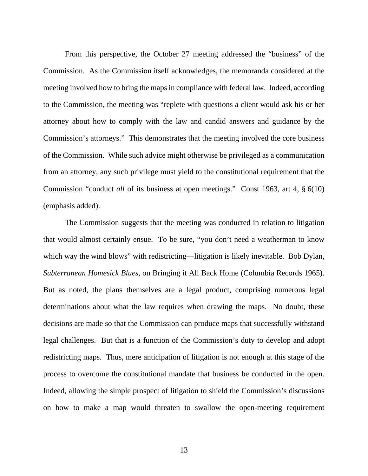From this perspective, the October 27 meeting addressed the "business" of the Commission. As the Commission itself acknowledges, the memoranda considered at the meeting involved how to bring the maps in compliance with federal law. Indeed, according to the Commission, the meeting was "replete with questions a client would ask his or her attorney about how to comply with the law and candid answers and guidance by the Commission's attorneys." This demonstrates that the meeting involved the core business of the Commission. While such advice might otherwise be privileged as a communication from an attorney, any such privilege must yield to the constitutional requirement that the Commission "conduct *all* of its business at open meetings." Const 1963, art 4, § 6(10) (emphasis added).

The Commission suggests that the meeting was conducted in relation to litigation that would almost certainly ensue. To be sure, "you don't need a weatherman to know which way the wind blows" with redistricting—litigation is likely inevitable. Bob Dylan, *Subterranean Homesick Blues*, on Bringing it All Back Home (Columbia Records 1965). But as noted, the plans themselves are a legal product, comprising numerous legal determinations about what the law requires when drawing the maps. No doubt, these decisions are made so that the Commission can produce maps that successfully withstand legal challenges. But that is a function of the Commission's duty to develop and adopt redistricting maps. Thus, mere anticipation of litigation is not enough at this stage of the process to overcome the constitutional mandate that business be conducted in the open. Indeed, allowing the simple prospect of litigation to shield the Commission's discussions on how to make a map would threaten to swallow the open-meeting requirement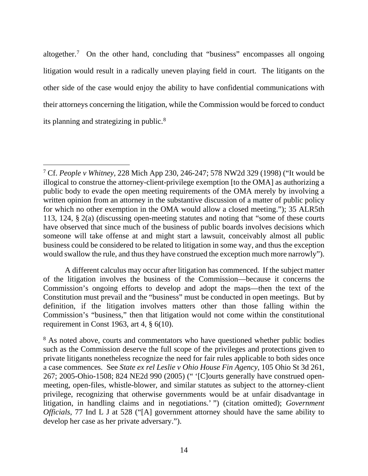altogether.[7](#page-17-0) On the other hand, concluding that "business" encompasses all ongoing litigation would result in a radically uneven playing field in court. The litigants on the other side of the case would enjoy the ability to have confidential communications with their attorneys concerning the litigation, while the Commission would be forced to conduct its planning and strategizing in public.[8](#page-17-1)

A different calculus may occur after litigation has commenced. If the subject matter of the litigation involves the business of the Commission—because it concerns the Commission's ongoing efforts to develop and adopt the maps—then the text of the Constitution must prevail and the "business" must be conducted in open meetings. But by definition, if the litigation involves matters other than those falling within the Commission's "business," then that litigation would not come within the constitutional requirement in Const 1963, art 4,  $\S$  6(10).

<span id="page-17-0"></span> <sup>7</sup> Cf. *People v Whitney*, 228 Mich App 230, 246-247; 578 NW2d 329 (1998) ("It would be illogical to construe the attorney-client-privilege exemption [to the OMA] as authorizing a public body to evade the open meeting requirements of the OMA merely by involving a written opinion from an attorney in the substantive discussion of a matter of public policy for which no other exemption in the OMA would allow a closed meeting."); 35 ALR5th 113, 124, § 2(a) (discussing open-meeting statutes and noting that "some of these courts have observed that since much of the business of public boards involves decisions which someone will take offense at and might start a lawsuit, conceivably almost all public business could be considered to be related to litigation in some way, and thus the exception would swallow the rule, and thus they have construed the exception much more narrowly").

<span id="page-17-1"></span><sup>&</sup>lt;sup>8</sup> As noted above, courts and commentators who have questioned whether public bodies such as the Commission deserve the full scope of the privileges and protections given to private litigants nonetheless recognize the need for fair rules applicable to both sides once a case commences. See *State ex rel Leslie v Ohio House Fin Agency*, 105 Ohio St 3d 261, 267; 2005-Ohio-1508; 824 NE2d 990 (2005) (" '[C]ourts generally have construed openmeeting, open-files, whistle-blower, and similar statutes as subject to the attorney-client privilege, recognizing that otherwise governments would be at unfair disadvantage in litigation, in handling claims and in negotiations.' ") (citation omitted); *Government Officials*, 77 Ind L J at 528 ("[A] government attorney should have the same ability to develop her case as her private adversary.").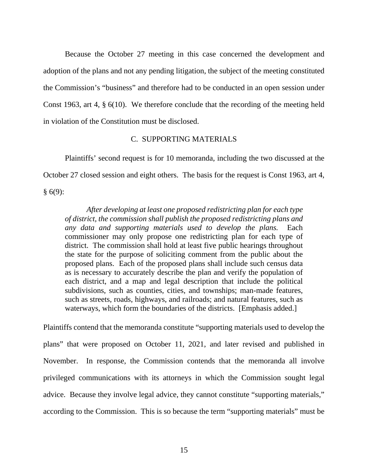Because the October 27 meeting in this case concerned the development and adoption of the plans and not any pending litigation, the subject of the meeting constituted the Commission's "business" and therefore had to be conducted in an open session under Const 1963, art 4, § 6(10). We therefore conclude that the recording of the meeting held in violation of the Constitution must be disclosed.

## C. SUPPORTING MATERIALS

Plaintiffs' second request is for 10 memoranda, including the two discussed at the October 27 closed session and eight others. The basis for the request is Const 1963, art 4,  $§ 6(9):$ 

*After developing at least one proposed redistricting plan for each type of district, the commission shall publish the proposed redistricting plans and any data and supporting materials used to develop the plans.* Each commissioner may only propose one redistricting plan for each type of district. The commission shall hold at least five public hearings throughout the state for the purpose of soliciting comment from the public about the proposed plans. Each of the proposed plans shall include such census data as is necessary to accurately describe the plan and verify the population of each district, and a map and legal description that include the political subdivisions, such as counties, cities, and townships; man-made features, such as streets, roads, highways, and railroads; and natural features, such as waterways, which form the boundaries of the districts. [Emphasis added.]

Plaintiffs contend that the memoranda constitute "supporting materials used to develop the plans" that were proposed on October 11, 2021, and later revised and published in November. In response, the Commission contends that the memoranda all involve privileged communications with its attorneys in which the Commission sought legal advice. Because they involve legal advice, they cannot constitute "supporting materials," according to the Commission. This is so because the term "supporting materials" must be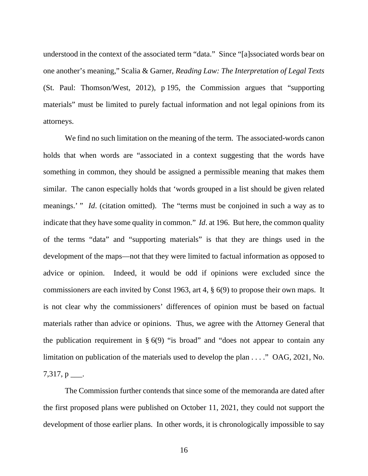understood in the context of the associated term "data." Since "[a]ssociated words bear on one another's meaning," Scalia & Garner, *Reading Law: The Interpretation of Legal Texts* (St. Paul: Thomson/West, 2012), p 195, the Commission argues that "supporting materials" must be limited to purely factual information and not legal opinions from its attorneys.

We find no such limitation on the meaning of the term. The associated-words canon holds that when words are "associated in a context suggesting that the words have something in common, they should be assigned a permissible meaning that makes them similar. The canon especially holds that 'words grouped in a list should be given related meanings.' " *Id*. (citation omitted). The "terms must be conjoined in such a way as to indicate that they have some quality in common." *Id*. at 196. But here, the common quality of the terms "data" and "supporting materials" is that they are things used in the development of the maps—not that they were limited to factual information as opposed to advice or opinion. Indeed, it would be odd if opinions were excluded since the commissioners are each invited by Const 1963, art 4, § 6(9) to propose their own maps. It is not clear why the commissioners' differences of opinion must be based on factual materials rather than advice or opinions. Thus, we agree with the Attorney General that the publication requirement in  $\S$  6(9) "is broad" and "does not appear to contain any limitation on publication of the materials used to develop the plan . . . ." OAG, 2021, No.  $7,317, p$  ....

The Commission further contends that since some of the memoranda are dated after the first proposed plans were published on October 11, 2021, they could not support the development of those earlier plans. In other words, it is chronologically impossible to say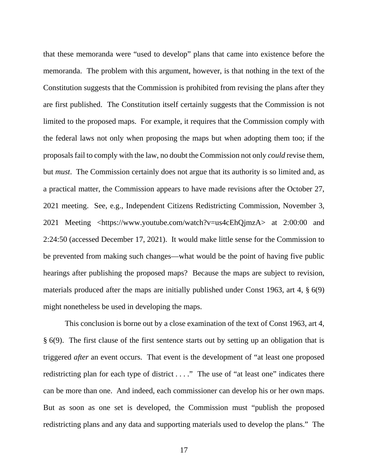that these memoranda were "used to develop" plans that came into existence before the memoranda. The problem with this argument, however, is that nothing in the text of the Constitution suggests that the Commission is prohibited from revising the plans after they are first published. The Constitution itself certainly suggests that the Commission is not limited to the proposed maps. For example, it requires that the Commission comply with the federal laws not only when proposing the maps but when adopting them too; if the proposals fail to comply with the law, no doubt the Commission not only *could* revise them, but *must*. The Commission certainly does not argue that its authority is so limited and, as a practical matter, the Commission appears to have made revisions after the October 27, 2021 meeting. See, e.g., Independent Citizens Redistricting Commission, November 3, 2021 Meeting <https://www.youtube.com/watch?v=us4cEhQjmzA> at 2:00:00 and 2:24:50 (accessed December 17, 2021). It would make little sense for the Commission to be prevented from making such changes—what would be the point of having five public hearings after publishing the proposed maps? Because the maps are subject to revision, materials produced after the maps are initially published under Const 1963, art 4, § 6(9) might nonetheless be used in developing the maps.

This conclusion is borne out by a close examination of the text of Const 1963, art 4, § 6(9). The first clause of the first sentence starts out by setting up an obligation that is triggered *after* an event occurs. That event is the development of "at least one proposed redistricting plan for each type of district . . . ." The use of "at least one" indicates there can be more than one. And indeed, each commissioner can develop his or her own maps. But as soon as one set is developed, the Commission must "publish the proposed redistricting plans and any data and supporting materials used to develop the plans." The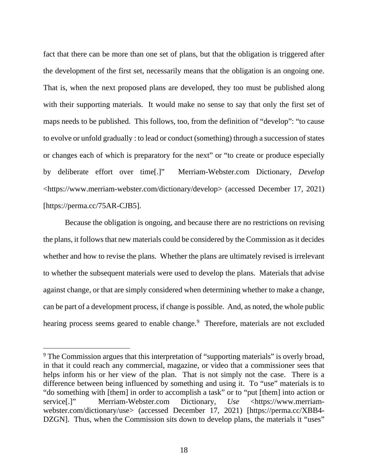fact that there can be more than one set of plans, but that the obligation is triggered after the development of the first set, necessarily means that the obligation is an ongoing one. That is, when the next proposed plans are developed, they too must be published along with their supporting materials. It would make no sense to say that only the first set of maps needs to be published. This follows, too, from the definition of "develop": "to cause to evolve or unfold gradually : to lead or conduct (something) through a succession of states or changes each of which is preparatory for the next" or "to create or produce especially by deliberate effort over time[.]" Merriam-Webster.com Dictionary, *Develop* <https://www.merriam-webster.com/dictionary/develop> (accessed December 17, 2021) [https://perma.cc/75AR-CJB5].

Because the obligation is ongoing, and because there are no restrictions on revising the plans, it follows that new materials could be considered by the Commission as it decides whether and how to revise the plans. Whether the plans are ultimately revised is irrelevant to whether the subsequent materials were used to develop the plans. Materials that advise against change, or that are simply considered when determining whether to make a change, can be part of a development process, if change is possible. And, as noted, the whole public hearing process seems geared to enable change.<sup>[9](#page-21-0)</sup> Therefore, materials are not excluded

<span id="page-21-0"></span><sup>&</sup>lt;sup>9</sup> The Commission argues that this interpretation of "supporting materials" is overly broad, in that it could reach any commercial, magazine, or video that a commissioner sees that helps inform his or her view of the plan. That is not simply not the case. There is a difference between being influenced by something and using it. To "use" materials is to "do something with [them] in order to accomplish a task" or to "put [them] into action or service[.]" Merriam-Webster.com Dictionary, *Use* <https://www.merriamwebster.com/dictionary/use> (accessed December 17, 2021) [https://perma.cc/XBB4- DZGN]. Thus, when the Commission sits down to develop plans, the materials it "uses"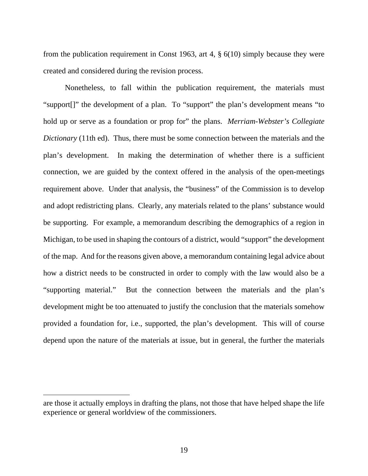from the publication requirement in Const 1963, art 4,  $\S$  6(10) simply because they were created and considered during the revision process.

Nonetheless, to fall within the publication requirement, the materials must "support[]" the development of a plan. To "support" the plan's development means "to hold up or serve as a foundation or prop for" the plans. *Merriam-Webster's Collegiate Dictionary* (11th ed). Thus, there must be some connection between the materials and the plan's development. In making the determination of whether there is a sufficient connection, we are guided by the context offered in the analysis of the open-meetings requirement above. Under that analysis, the "business" of the Commission is to develop and adopt redistricting plans. Clearly, any materials related to the plans' substance would be supporting. For example, a memorandum describing the demographics of a region in Michigan, to be used in shaping the contours of a district, would "support" the development of the map. And for the reasons given above, a memorandum containing legal advice about how a district needs to be constructed in order to comply with the law would also be a "supporting material." But the connection between the materials and the plan's development might be too attenuated to justify the conclusion that the materials somehow provided a foundation for, i.e., supported, the plan's development. This will of course depend upon the nature of the materials at issue, but in general, the further the materials

are those it actually employs in drafting the plans, not those that have helped shape the life experience or general worldview of the commissioners.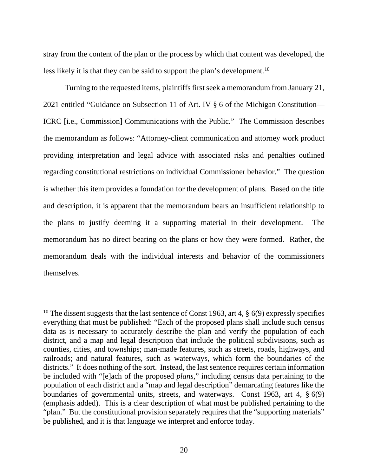stray from the content of the plan or the process by which that content was developed, the less likely it is that they can be said to support the plan's development.<sup>10</sup>

Turning to the requested items, plaintiffs first seek a memorandum from January 21, 2021 entitled "Guidance on Subsection 11 of Art. IV § 6 of the Michigan Constitution— ICRC [i.e., Commission] Communications with the Public." The Commission describes the memorandum as follows: "Attorney-client communication and attorney work product providing interpretation and legal advice with associated risks and penalties outlined regarding constitutional restrictions on individual Commissioner behavior." The question is whether this item provides a foundation for the development of plans. Based on the title and description, it is apparent that the memorandum bears an insufficient relationship to the plans to justify deeming it a supporting material in their development. The memorandum has no direct bearing on the plans or how they were formed. Rather, the memorandum deals with the individual interests and behavior of the commissioners themselves.

<span id="page-23-0"></span><sup>&</sup>lt;sup>10</sup> The dissent suggests that the last sentence of Const 1963, art 4,  $\S$  6(9) expressly specifies everything that must be published: "Each of the proposed plans shall include such census data as is necessary to accurately describe the plan and verify the population of each district, and a map and legal description that include the political subdivisions, such as counties, cities, and townships; man-made features, such as streets, roads, highways, and railroads; and natural features, such as waterways, which form the boundaries of the districts." It does nothing of the sort. Instead, the last sentence requires certain information be included with "[e]ach of the proposed *plans*," including census data pertaining to the population of each district and a "map and legal description" demarcating features like the boundaries of governmental units, streets, and waterways. Const 1963, art 4, § 6(9) (emphasis added). This is a clear description of what must be published pertaining to the "plan." But the constitutional provision separately requires that the "supporting materials" be published, and it is that language we interpret and enforce today.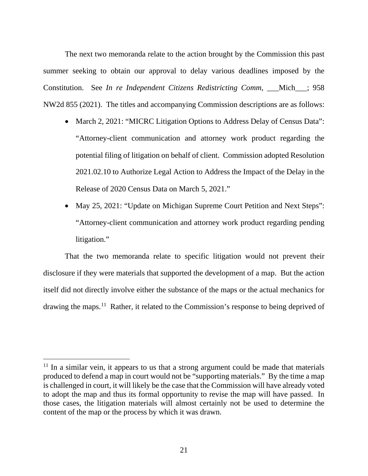The next two memoranda relate to the action brought by the Commission this past summer seeking to obtain our approval to delay various deadlines imposed by the Constitution. See *In re Independent Citizens Redistricting Comm*, \_\_\_Mich\_\_\_; 958 NW2d 855 (2021). The titles and accompanying Commission descriptions are as follows:

- March 2, 2021: "MICRC Litigation Options to Address Delay of Census Data": "Attorney-client communication and attorney work product regarding the potential filing of litigation on behalf of client. Commission adopted Resolution 2021.02.10 to Authorize Legal Action to Address the Impact of the Delay in the Release of 2020 Census Data on March 5, 2021."
- May 25, 2021: "Update on Michigan Supreme Court Petition and Next Steps": "Attorney-client communication and attorney work product regarding pending litigation."

That the two memoranda relate to specific litigation would not prevent their disclosure if they were materials that supported the development of a map. But the action itself did not directly involve either the substance of the maps or the actual mechanics for drawing the maps.<sup>[11](#page-24-0)</sup> Rather, it related to the Commission's response to being deprived of

<span id="page-24-0"></span> $11$  In a similar vein, it appears to us that a strong argument could be made that materials produced to defend a map in court would not be "supporting materials." By the time a map is challenged in court, it will likely be the case that the Commission will have already voted to adopt the map and thus its formal opportunity to revise the map will have passed. In those cases, the litigation materials will almost certainly not be used to determine the content of the map or the process by which it was drawn.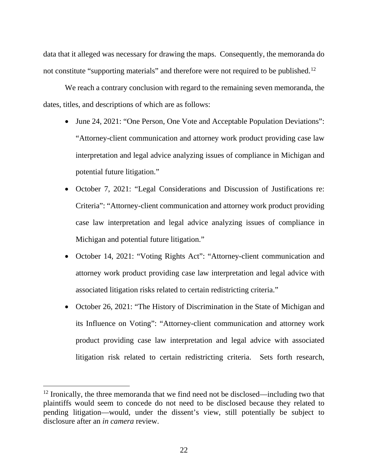data that it alleged was necessary for drawing the maps. Consequently, the memoranda do not constitute "supporting materials" and therefore were not required to be published.<sup>[12](#page-25-0)</sup>

We reach a contrary conclusion with regard to the remaining seven memoranda, the dates, titles, and descriptions of which are as follows:

- June 24, 2021: "One Person, One Vote and Acceptable Population Deviations": "Attorney-client communication and attorney work product providing case law interpretation and legal advice analyzing issues of compliance in Michigan and potential future litigation."
- October 7, 2021: "Legal Considerations and Discussion of Justifications re: Criteria": "Attorney-client communication and attorney work product providing case law interpretation and legal advice analyzing issues of compliance in Michigan and potential future litigation."
- October 14, 2021: "Voting Rights Act": "Attorney-client communication and attorney work product providing case law interpretation and legal advice with associated litigation risks related to certain redistricting criteria."
- October 26, 2021: "The History of Discrimination in the State of Michigan and its Influence on Voting": "Attorney-client communication and attorney work product providing case law interpretation and legal advice with associated litigation risk related to certain redistricting criteria. Sets forth research,

<span id="page-25-0"></span> $12$  Ironically, the three memoranda that we find need not be disclosed—including two that plaintiffs would seem to concede do not need to be disclosed because they related to pending litigation—would, under the dissent's view, still potentially be subject to disclosure after an *in camera* review.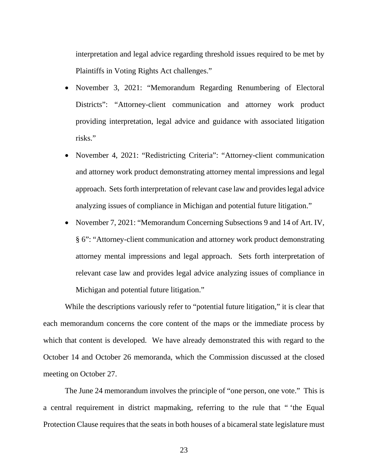interpretation and legal advice regarding threshold issues required to be met by Plaintiffs in Voting Rights Act challenges."

- November 3, 2021: "Memorandum Regarding Renumbering of Electoral Districts": "Attorney-client communication and attorney work product providing interpretation, legal advice and guidance with associated litigation risks."
- November 4, 2021: "Redistricting Criteria": "Attorney-client communication and attorney work product demonstrating attorney mental impressions and legal approach. Sets forth interpretation of relevant case law and provides legal advice analyzing issues of compliance in Michigan and potential future litigation."
- November 7, 2021: "Memorandum Concerning Subsections 9 and 14 of Art. IV, § 6": "Attorney-client communication and attorney work product demonstrating attorney mental impressions and legal approach. Sets forth interpretation of relevant case law and provides legal advice analyzing issues of compliance in Michigan and potential future litigation."

While the descriptions variously refer to "potential future litigation," it is clear that each memorandum concerns the core content of the maps or the immediate process by which that content is developed. We have already demonstrated this with regard to the October 14 and October 26 memoranda, which the Commission discussed at the closed meeting on October 27.

The June 24 memorandum involves the principle of "one person, one vote." This is a central requirement in district mapmaking, referring to the rule that " 'the Equal Protection Clause requires that the seats in both houses of a bicameral state legislature must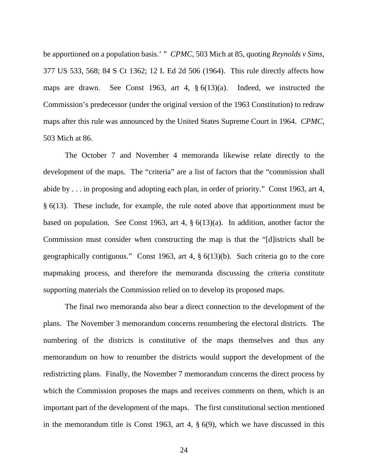be apportioned on a population basis.' " *CPMC*, 503 Mich at 85, quoting *Reynolds v Sims*, 377 US 533, 568; 84 S Ct 1362; 12 L Ed 2d 506 (1964). This rule directly affects how maps are drawn. See Const 1963, art 4, § 6(13)(a). Indeed, we instructed the Commission's predecessor (under the original version of the 1963 Constitution) to redraw maps after this rule was announced by the United States Supreme Court in 1964. *CPMC*, 503 Mich at 86.

The October 7 and November 4 memoranda likewise relate directly to the development of the maps. The "criteria" are a list of factors that the "commission shall abide by . . . in proposing and adopting each plan, in order of priority." Const 1963, art 4, § 6(13). These include, for example, the rule noted above that apportionment must be based on population. See Const 1963, art 4, § 6(13)(a). In addition, another factor the Commission must consider when constructing the map is that the "[d]istricts shall be geographically contiguous." Const 1963, art 4, § 6(13)(b). Such criteria go to the core mapmaking process, and therefore the memoranda discussing the criteria constitute supporting materials the Commission relied on to develop its proposed maps.

The final two memoranda also bear a direct connection to the development of the plans. The November 3 memorandum concerns renumbering the electoral districts. The numbering of the districts is constitutive of the maps themselves and thus any memorandum on how to renumber the districts would support the development of the redistricting plans. Finally, the November 7 memorandum concerns the direct process by which the Commission proposes the maps and receives comments on them, which is an important part of the development of the maps. The first constitutional section mentioned in the memorandum title is Const 1963, art 4, § 6(9), which we have discussed in this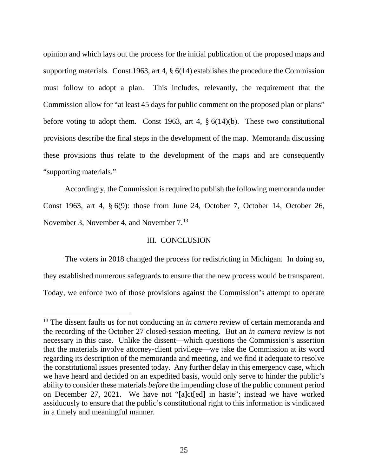opinion and which lays out the process for the initial publication of the proposed maps and supporting materials. Const 1963, art 4, § 6(14) establishes the procedure the Commission must follow to adopt a plan. This includes, relevantly, the requirement that the Commission allow for "at least 45 days for public comment on the proposed plan or plans" before voting to adopt them. Const 1963, art 4, § 6(14)(b). These two constitutional provisions describe the final steps in the development of the map. Memoranda discussing these provisions thus relate to the development of the maps and are consequently "supporting materials."

Accordingly, the Commission is required to publish the following memoranda under Const 1963, art 4, § 6(9): those from June 24, October 7, October 14, October 26, November 3, November 4, and November 7.[13](#page-28-0)

## III. CONCLUSION

The voters in 2018 changed the process for redistricting in Michigan. In doing so, they established numerous safeguards to ensure that the new process would be transparent. Today, we enforce two of those provisions against the Commission's attempt to operate

<span id="page-28-0"></span><sup>&</sup>lt;sup>13</sup> The dissent faults us for not conducting an *in camera* review of certain memoranda and the recording of the October 27 closed-session meeting. But an *in camera* review is not necessary in this case. Unlike the dissent—which questions the Commission's assertion that the materials involve attorney-client privilege—we take the Commission at its word regarding its description of the memoranda and meeting, and we find it adequate to resolve the constitutional issues presented today. Any further delay in this emergency case, which we have heard and decided on an expedited basis, would only serve to hinder the public's ability to consider these materials *before* the impending close of the public comment period on December 27, 2021. We have not "[a]ct[ed] in haste"; instead we have worked assiduously to ensure that the public's constitutional right to this information is vindicated in a timely and meaningful manner.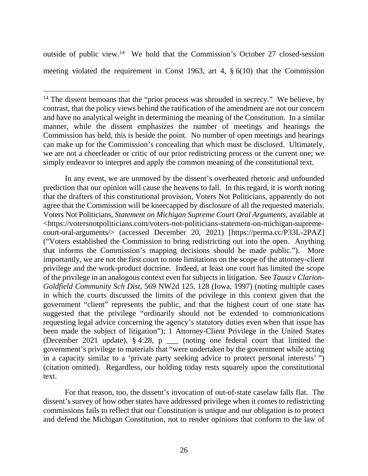outside of public view.[14](#page-29-0) We hold that the Commission's October 27 closed-session meeting violated the requirement in Const 1963, art 4, § 6(10) that the Commission

In any event, we are unmoved by the dissent's overheated rhetoric and unfounded prediction that our opinion will cause the heavens to fall. In this regard, it is worth noting that the drafters of this constitutional provision, Voters Not Politicians, apparently do not agree that the Commission will be kneecapped by disclosure of all the requested materials. Voters Not Politicians, *Statement on Michigan Supreme Court Oral Arguments*, available at <https://votersnotpoliticians.com/voters-not-politicians-statement-on-michigan-supremecourt-oral-arguments/> (accessed December 20, 2021) [https://perma.cc/P33L-2PAZ] ("Voters established the Commission to bring redistricting out into the open. Anything that informs the Commission's mapping decisions should be made public."). More importantly, we are not the first court to note limitations on the scope of the attorney-client privilege and the work-product doctrine. Indeed, at least one court has limited the scope of the privilege in an analogous context even for subjects in litigation. See *Tausz v Clarion-Goldfield Community Sch Dist*, 569 NW2d 125, 128 (Iowa, 1997) (noting multiple cases in which the courts discussed the limits of the privilege in this context given that the government "client" represents the public, and that the highest court of one state has suggested that the privilege "ordinarily should not be extended to communications requesting legal advice concerning the agency's statutory duties even when that issue has been made the subject of litigation"); 1 Attorney-Client Privilege in the United States (December 2021 update), § 4:28, p \_\_\_ (noting one federal court that limited the government's privilege to materials that "were undertaken by the government while acting in a capacity similar to a 'private party seeking advice to protect personal interests' ") (citation omitted). Regardless, our holding today rests squarely upon the constitutional text.

For that reason, too, the dissent's invocation of out-of-state caselaw falls flat. The dissent's survey of how other states have addressed privilege when it comes to redistricting commissions fails to reflect that our Constitution is unique and our obligation is to protect and defend the Michigan Constitution, not to render opinions that conform to the law of

<span id="page-29-0"></span><sup>&</sup>lt;sup>14</sup> The dissent bemoans that the "prior process was shrouded in secrecy." We believe, by contrast, that the policy views behind the ratification of the amendment are not our concern and have no analytical weight in determining the meaning of the Constitution. In a similar manner, while the dissent emphasizes the number of meetings and hearings the Commission has held, this is beside the point. No number of open meetings and hearings can make up for the Commission's concealing that which must be disclosed. Ultimately, we are not a cheerleader or critic of our prior redistricting process or the current one; we simply endeavor to interpret and apply the common meaning of the constitutional text.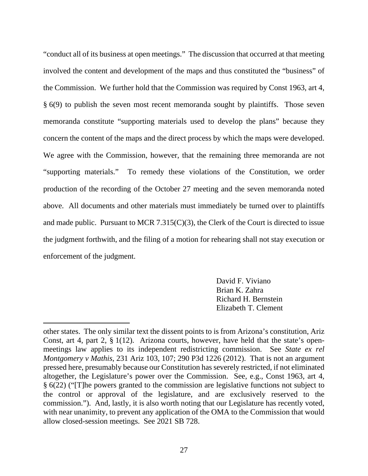"conduct all of its business at open meetings." The discussion that occurred at that meeting involved the content and development of the maps and thus constituted the "business" of the Commission. We further hold that the Commission was required by Const 1963, art 4, § 6(9) to publish the seven most recent memoranda sought by plaintiffs. Those seven memoranda constitute "supporting materials used to develop the plans" because they concern the content of the maps and the direct process by which the maps were developed. We agree with the Commission, however, that the remaining three memoranda are not "supporting materials." To remedy these violations of the Constitution, we order production of the recording of the October 27 meeting and the seven memoranda noted above. All documents and other materials must immediately be turned over to plaintiffs and made public. Pursuant to MCR 7.315(C)(3), the Clerk of the Court is directed to issue the judgment forthwith, and the filing of a motion for rehearing shall not stay execution or enforcement of the judgment.

> David F. Viviano Brian K. Zahra Richard H. Bernstein Elizabeth T. Clement

other states. The only similar text the dissent points to is from Arizona's constitution, Ariz Const, art 4, part 2, § 1(12). Arizona courts, however, have held that the state's openmeetings law applies to its independent redistricting commission. See *State ex rel Montgomery v Mathis*, 231 Ariz 103, 107; 290 P3d 1226 (2012). That is not an argument pressed here, presumably because our Constitution has severely restricted, if not eliminated altogether, the Legislature's power over the Commission. See, e.g., Const 1963, art 4, § 6(22) ("[T]he powers granted to the commission are legislative functions not subject to the control or approval of the legislature, and are exclusively reserved to the commission."). And, lastly, it is also worth noting that our Legislature has recently voted, with near unanimity, to prevent any application of the OMA to the Commission that would allow closed-session meetings. See 2021 SB 728.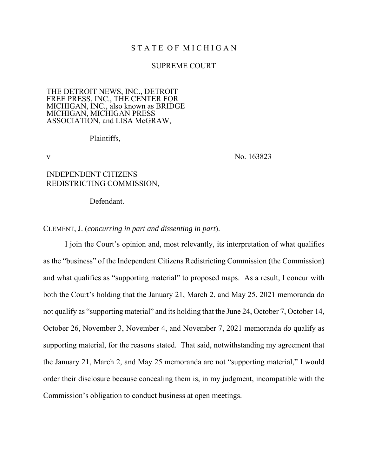## STATE OF MICHIGAN

#### SUPREME COURT

#### THE DETROIT NEWS, INC., DETROIT FREE PRESS, INC., THE CENTER FOR MICHIGAN, INC., also known as BRIDGE MICHIGAN, MICHIGAN PRESS ASSOCIATION, and LISA McGRAW,

Plaintiffs,

v No. 163823

## INDEPENDENT CITIZENS REDISTRICTING COMMISSION,

Defendant.

CLEMENT, J. (*concurring in part and dissenting in part*).

I join the Court's opinion and, most relevantly, its interpretation of what qualifies as the "business" of the Independent Citizens Redistricting Commission (the Commission) and what qualifies as "supporting material" to proposed maps. As a result, I concur with both the Court's holding that the January 21, March 2, and May 25, 2021 memoranda do not qualify as "supporting material" and its holding that the June 24, October 7, October 14, October 26, November 3, November 4, and November 7, 2021 memoranda *do* qualify as supporting material, for the reasons stated. That said, notwithstanding my agreement that the January 21, March 2, and May 25 memoranda are not "supporting material," I would order their disclosure because concealing them is, in my judgment, incompatible with the Commission's obligation to conduct business at open meetings.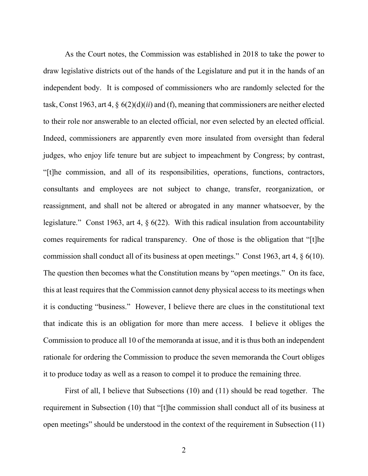As the Court notes, the Commission was established in 2018 to take the power to draw legislative districts out of the hands of the Legislature and put it in the hands of an independent body. It is composed of commissioners who are randomly selected for the task, Const 1963, art 4, § 6(2)(d)(*ii*) and (f), meaning that commissioners are neither elected to their role nor answerable to an elected official, nor even selected by an elected official. Indeed, commissioners are apparently even more insulated from oversight than federal judges, who enjoy life tenure but are subject to impeachment by Congress; by contrast, "[t]he commission, and all of its responsibilities, operations, functions, contractors, consultants and employees are not subject to change, transfer, reorganization, or reassignment, and shall not be altered or abrogated in any manner whatsoever, by the legislature." Const 1963, art 4, § 6(22). With this radical insulation from accountability comes requirements for radical transparency. One of those is the obligation that "[t]he commission shall conduct all of its business at open meetings." Const 1963, art 4, § 6(10). The question then becomes what the Constitution means by "open meetings." On its face, this at least requires that the Commission cannot deny physical access to its meetings when it is conducting "business." However, I believe there are clues in the constitutional text that indicate this is an obligation for more than mere access. I believe it obliges the Commission to produce all 10 of the memoranda at issue, and it is thus both an independent rationale for ordering the Commission to produce the seven memoranda the Court obliges it to produce today as well as a reason to compel it to produce the remaining three.

First of all, I believe that Subsections (10) and (11) should be read together. The requirement in Subsection (10) that "[t]he commission shall conduct all of its business at open meetings" should be understood in the context of the requirement in Subsection (11)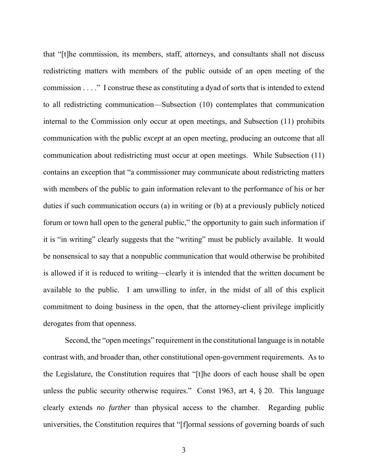that "[t]he commission, its members, staff, attorneys, and consultants shall not discuss redistricting matters with members of the public outside of an open meeting of the commission . . . ." I construe these as constituting a dyad of sorts that is intended to extend to all redistricting communication—Subsection (10) contemplates that communication internal to the Commission only occur at open meetings, and Subsection (11) prohibits communication with the public *except* at an open meeting, producing an outcome that all communication about redistricting must occur at open meetings. While Subsection (11) contains an exception that "a commissioner may communicate about redistricting matters with members of the public to gain information relevant to the performance of his or her duties if such communication occurs (a) in writing or (b) at a previously publicly noticed forum or town hall open to the general public," the opportunity to gain such information if it is "in writing" clearly suggests that the "writing" must be publicly available. It would be nonsensical to say that a nonpublic communication that would otherwise be prohibited is allowed if it is reduced to writing—clearly it is intended that the written document be available to the public. I am unwilling to infer, in the midst of all of this explicit commitment to doing business in the open, that the attorney-client privilege implicitly derogates from that openness.

Second, the "open meetings" requirement in the constitutional language is in notable contrast with, and broader than, other constitutional open-government requirements. As to the Legislature, the Constitution requires that "[t]he doors of each house shall be open unless the public security otherwise requires." Const 1963, art 4, § 20. This language clearly extends *no further* than physical access to the chamber. Regarding public universities, the Constitution requires that "[f]ormal sessions of governing boards of such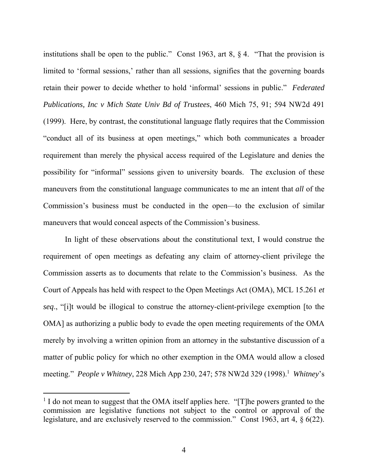institutions shall be open to the public." Const 1963, art 8,  $\S 4$ . "That the provision is limited to 'formal sessions,' rather than all sessions, signifies that the governing boards retain their power to decide whether to hold 'informal' sessions in public." *Federated Publications, Inc v Mich State Univ Bd of Trustees*, 460 Mich 75, 91; 594 NW2d 491 (1999). Here, by contrast, the constitutional language flatly requires that the Commission "conduct all of its business at open meetings," which both communicates a broader requirement than merely the physical access required of the Legislature and denies the possibility for "informal" sessions given to university boards. The exclusion of these maneuvers from the constitutional language communicates to me an intent that *all* of the Commission's business must be conducted in the open—to the exclusion of similar maneuvers that would conceal aspects of the Commission's business.

In light of these observations about the constitutional text, I would construe the requirement of open meetings as defeating any claim of attorney-client privilege the Commission asserts as to documents that relate to the Commission's business. As the Court of Appeals has held with respect to the Open Meetings Act (OMA), MCL 15.261 *et seq*., "[i]t would be illogical to construe the attorney-client-privilege exemption [to the OMA] as authorizing a public body to evade the open meeting requirements of the OMA merely by involving a written opinion from an attorney in the substantive discussion of a matter of public policy for which no other exemption in the OMA would allow a closed meeting." *People v Whitney*, 228 Mich App 230, 247; 578 NW2d 329 (1998).<sup>1</sup> Whitney's

<sup>&</sup>lt;sup>1</sup> I do not mean to suggest that the OMA itself applies here. "[T]he powers granted to the commission are legislative functions not subject to the control or approval of the legislature, and are exclusively reserved to the commission." Const 1963, art 4, § 6(22).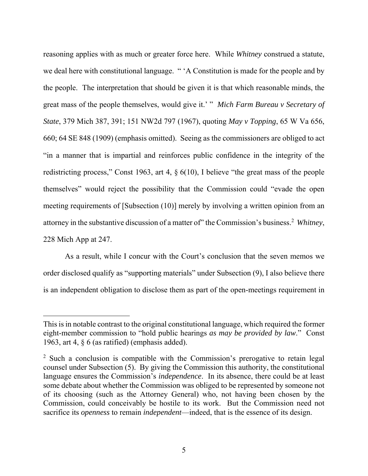reasoning applies with as much or greater force here. While *Whitney* construed a statute, we deal here with constitutional language. " 'A Constitution is made for the people and by the people. The interpretation that should be given it is that which reasonable minds, the great mass of the people themselves, would give it.' " *Mich Farm Bureau v Secretary of State*, 379 Mich 387, 391; 151 NW2d 797 (1967), quoting *May v Topping*, 65 W Va 656, 660; 64 SE 848 (1909) (emphasis omitted). Seeing as the commissioners are obliged to act "in a manner that is impartial and reinforces public confidence in the integrity of the redistricting process," Const 1963, art 4, § 6(10), I believe "the great mass of the people themselves" would reject the possibility that the Commission could "evade the open meeting requirements of [Subsection (10)] merely by involving a written opinion from an attorney in the substantive discussion of a matter of" the Commission's business.2 *Whitney*, 228 Mich App at 247.

As a result, while I concur with the Court's conclusion that the seven memos we order disclosed qualify as "supporting materials" under Subsection (9), I also believe there is an independent obligation to disclose them as part of the open-meetings requirement in

This is in notable contrast to the original constitutional language, which required the former eight-member commission to "hold public hearings *as may be provided by law*." Const 1963, art 4, § 6 (as ratified) (emphasis added).

<sup>&</sup>lt;sup>2</sup> Such a conclusion is compatible with the Commission's prerogative to retain legal counsel under Subsection (5). By giving the Commission this authority, the constitutional language ensures the Commission's *independence*. In its absence, there could be at least some debate about whether the Commission was obliged to be represented by someone not of its choosing (such as the Attorney General) who, not having been chosen by the Commission, could conceivably be hostile to its work. But the Commission need not sacrifice its *openness* to remain *independent*—indeed, that is the essence of its design.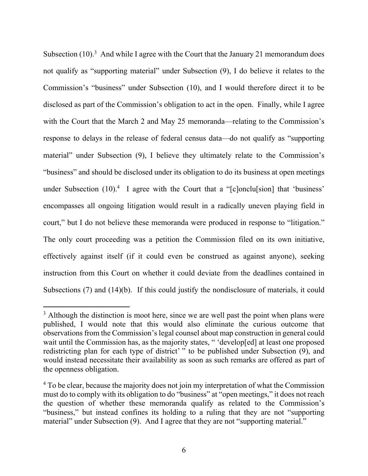Subsection  $(10)^3$  And while I agree with the Court that the January 21 memorandum does not qualify as "supporting material" under Subsection (9), I do believe it relates to the Commission's "business" under Subsection (10), and I would therefore direct it to be disclosed as part of the Commission's obligation to act in the open. Finally, while I agree with the Court that the March 2 and May 25 memoranda—relating to the Commission's response to delays in the release of federal census data—do not qualify as "supporting material" under Subsection (9), I believe they ultimately relate to the Commission's "business" and should be disclosed under its obligation to do its business at open meetings under Subsection  $(10)^4$  I agree with the Court that a "[c]onclu[sion] that 'business' encompasses all ongoing litigation would result in a radically uneven playing field in court," but I do not believe these memoranda were produced in response to "litigation." The only court proceeding was a petition the Commission filed on its own initiative, effectively against itself (if it could even be construed as against anyone), seeking instruction from this Court on whether it could deviate from the deadlines contained in Subsections (7) and (14)(b). If this could justify the nondisclosure of materials, it could

 $3$  Although the distinction is moot here, since we are well past the point when plans were published, I would note that this would also eliminate the curious outcome that observations from the Commission's legal counsel about map construction in general could wait until the Commission has, as the majority states, " 'develop[ed] at least one proposed redistricting plan for each type of district' " to be published under Subsection (9), and would instead necessitate their availability as soon as such remarks are offered as part of the openness obligation.

<sup>&</sup>lt;sup>4</sup> To be clear, because the majority does not join my interpretation of what the Commission must do to comply with its obligation to do "business" at "open meetings," it does not reach the question of whether these memoranda qualify as related to the Commission's "business," but instead confines its holding to a ruling that they are not "supporting material" under Subsection (9). And I agree that they are not "supporting material."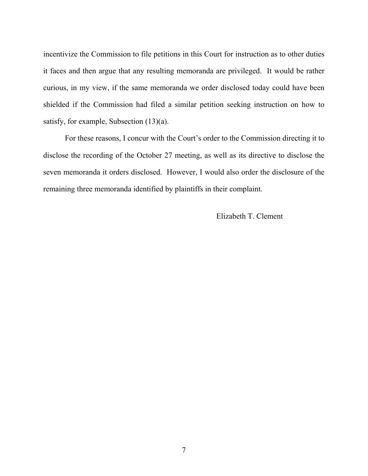incentivize the Commission to file petitions in this Court for instruction as to other duties it faces and then argue that any resulting memoranda are privileged. It would be rather curious, in my view, if the same memoranda we order disclosed today could have been shielded if the Commission had filed a similar petition seeking instruction on how to satisfy, for example, Subsection (13)(a).

For these reasons, I concur with the Court's order to the Commission directing it to disclose the recording of the October 27 meeting, as well as its directive to disclose the seven memoranda it orders disclosed. However, I would also order the disclosure of the remaining three memoranda identified by plaintiffs in their complaint.

Elizabeth T. Clement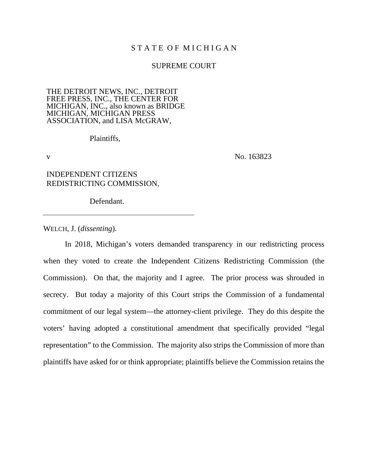## STATE OF MICHIGAN

#### SUPREME COURT

#### THE DETROIT NEWS, INC., DETROIT FREE PRESS, INC., THE CENTER FOR MICHIGAN, INC., also known as BRIDGE MICHIGAN, MICHIGAN PRESS ASSOCIATION, and LISA McGRAW,

Plaintiffs,

v No. 163823

## INDEPENDENT CITIZENS REDISTRICTING COMMISSION,

Defendant.

WELCH, J. (*dissenting*).

In 2018, Michigan's voters demanded transparency in our redistricting process when they voted to create the Independent Citizens Redistricting Commission (the Commission). On that, the majority and I agree. The prior process was shrouded in secrecy. But today a majority of this Court strips the Commission of a fundamental commitment of our legal system—the attorney-client privilege. They do this despite the voters' having adopted a constitutional amendment that specifically provided "legal representation" to the Commission. The majority also strips the Commission of more than plaintiffs have asked for or think appropriate; plaintiffs believe the Commission retains the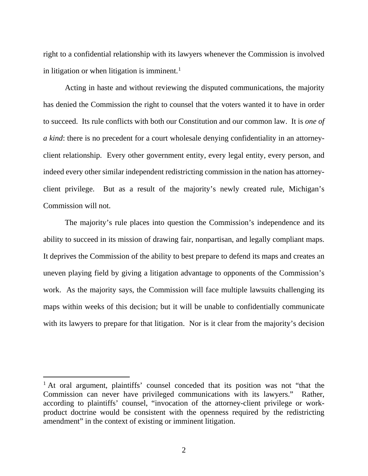right to a confidential relationship with its lawyers whenever the Commission is involved in litigation or when litigation is imminent.<sup>[1](#page-39-0)</sup>

Acting in haste and without reviewing the disputed communications, the majority has denied the Commission the right to counsel that the voters wanted it to have in order to succeed. Its rule conflicts with both our Constitution and our common law. It is *one of a kind*: there is no precedent for a court wholesale denying confidentiality in an attorneyclient relationship. Every other government entity, every legal entity, every person, and indeed every other similar independent redistricting commission in the nation has attorneyclient privilege. But as a result of the majority's newly created rule, Michigan's Commission will not.

The majority's rule places into question the Commission's independence and its ability to succeed in its mission of drawing fair, nonpartisan, and legally compliant maps. It deprives the Commission of the ability to best prepare to defend its maps and creates an uneven playing field by giving a litigation advantage to opponents of the Commission's work. As the majority says, the Commission will face multiple lawsuits challenging its maps within weeks of this decision; but it will be unable to confidentially communicate with its lawyers to prepare for that litigation. Nor is it clear from the majority's decision

<span id="page-39-0"></span><sup>&</sup>lt;sup>1</sup> At oral argument, plaintiffs' counsel conceded that its position was not "that the Commission can never have privileged communications with its lawyers." Rather, according to plaintiffs' counsel, "invocation of the attorney-client privilege or workproduct doctrine would be consistent with the openness required by the redistricting amendment" in the context of existing or imminent litigation.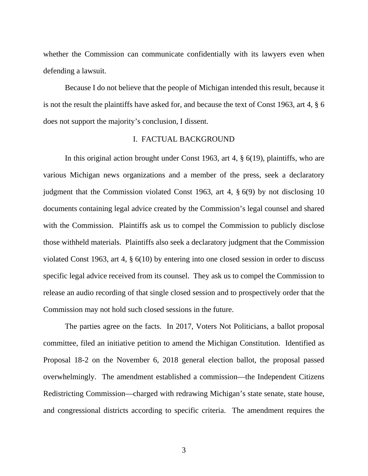whether the Commission can communicate confidentially with its lawyers even when defending a lawsuit.

Because I do not believe that the people of Michigan intended this result, because it is not the result the plaintiffs have asked for, and because the text of Const 1963, art 4, § 6 does not support the majority's conclusion, I dissent.

#### I. FACTUAL BACKGROUND

In this original action brought under Const 1963, art 4, § 6(19), plaintiffs, who are various Michigan news organizations and a member of the press, seek a declaratory judgment that the Commission violated Const 1963, art 4, § 6(9) by not disclosing 10 documents containing legal advice created by the Commission's legal counsel and shared with the Commission. Plaintiffs ask us to compel the Commission to publicly disclose those withheld materials. Plaintiffs also seek a declaratory judgment that the Commission violated Const 1963, art 4, § 6(10) by entering into one closed session in order to discuss specific legal advice received from its counsel. They ask us to compel the Commission to release an audio recording of that single closed session and to prospectively order that the Commission may not hold such closed sessions in the future.

The parties agree on the facts. In 2017, Voters Not Politicians, a ballot proposal committee, filed an initiative petition to amend the Michigan Constitution. Identified as Proposal 18-2 on the November 6, 2018 general election ballot, the proposal passed overwhelmingly. The amendment established a commission—the Independent Citizens Redistricting Commission—charged with redrawing Michigan's state senate, state house, and congressional districts according to specific criteria. The amendment requires the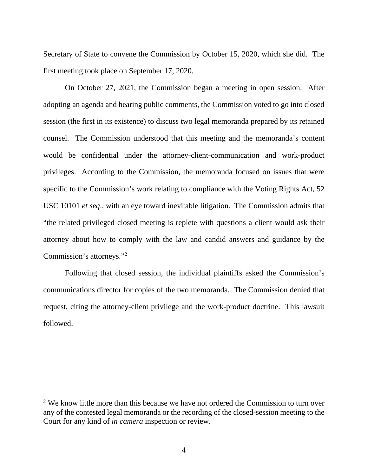Secretary of State to convene the Commission by October 15, 2020, which she did. The first meeting took place on September 17, 2020.

On October 27, 2021, the Commission began a meeting in open session. After adopting an agenda and hearing public comments, the Commission voted to go into closed session (the first in its existence) to discuss two legal memoranda prepared by its retained counsel. The Commission understood that this meeting and the memoranda's content would be confidential under the attorney-client-communication and work-product privileges. According to the Commission, the memoranda focused on issues that were specific to the Commission's work relating to compliance with the Voting Rights Act, 52 USC 10101 *et seq*., with an eye toward inevitable litigation. The Commission admits that "the related privileged closed meeting is replete with questions a client would ask their attorney about how to comply with the law and candid answers and guidance by the Commission's attorneys.["2](#page-41-0)

Following that closed session, the individual plaintiffs asked the Commission's communications director for copies of the two memoranda. The Commission denied that request, citing the attorney-client privilege and the work-product doctrine. This lawsuit followed.

<span id="page-41-0"></span><sup>&</sup>lt;sup>2</sup> We know little more than this because we have not ordered the Commission to turn over any of the contested legal memoranda or the recording of the closed-session meeting to the Court for any kind of *in camera* inspection or review.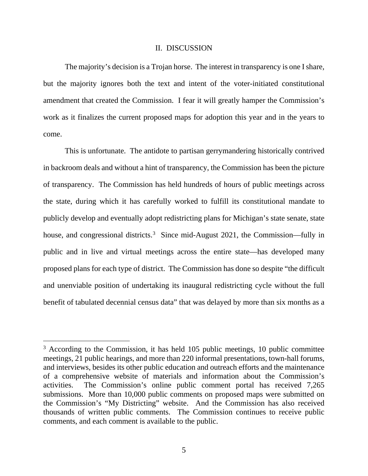#### II. DISCUSSION

The majority's decision is a Trojan horse. The interest in transparency is one I share, but the majority ignores both the text and intent of the voter-initiated constitutional amendment that created the Commission. I fear it will greatly hamper the Commission's work as it finalizes the current proposed maps for adoption this year and in the years to come.

This is unfortunate. The antidote to partisan gerrymandering historically contrived in backroom deals and without a hint of transparency, the Commission has been the picture of transparency. The Commission has held hundreds of hours of public meetings across the state, during which it has carefully worked to fulfill its constitutional mandate to publicly develop and eventually adopt redistricting plans for Michigan's state senate, state house, and congressional districts.<sup>[3](#page-42-0)</sup> Since mid-August 2021, the Commission—fully in public and in live and virtual meetings across the entire state—has developed many proposed plans for each type of district. The Commission has done so despite "the difficult and unenviable position of undertaking its inaugural redistricting cycle without the full benefit of tabulated decennial census data" that was delayed by more than six months as a

<span id="page-42-0"></span><sup>&</sup>lt;sup>3</sup> According to the Commission, it has held 105 public meetings, 10 public committee meetings, 21 public hearings, and more than 220 informal presentations, town-hall forums, and interviews, besides its other public education and outreach efforts and the maintenance of a comprehensive website of materials and information about the Commission's activities. The Commission's online public comment portal has received 7,265 submissions. More than 10,000 public comments on proposed maps were submitted on the Commission's "My Districting" website. And the Commission has also received thousands of written public comments. The Commission continues to receive public comments, and each comment is available to the public.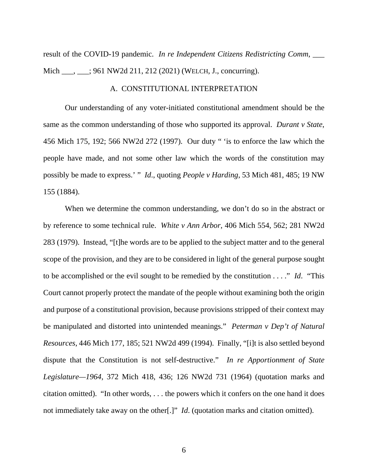result of the COVID-19 pandemic. *In re Independent Citizens Redistricting Comm*, \_\_\_ Mich \_\_\_, \_\_\_; 961 NW2d 211, 212 (2021) (WELCH, J., concurring).

## A. CONSTITUTIONAL INTERPRETATION

Our understanding of any voter-initiated constitutional amendment should be the same as the common understanding of those who supported its approval. *Durant v State*, 456 Mich 175, 192; 566 NW2d 272 (1997). Our duty " 'is to enforce the law which the people have made, and not some other law which the words of the constitution may possibly be made to express.' " *Id*., quoting *People v Harding*, 53 Mich 481, 485; 19 NW 155 (1884).

When we determine the common understanding, we don't do so in the abstract or by reference to some technical rule. *White v Ann Arbor*, 406 Mich 554, 562; 281 NW2d 283 (1979). Instead, "[t]he words are to be applied to the subject matter and to the general scope of the provision, and they are to be considered in light of the general purpose sought to be accomplished or the evil sought to be remedied by the constitution . . . ." *Id*. "This Court cannot properly protect the mandate of the people without examining both the origin and purpose of a constitutional provision, because provisions stripped of their context may be manipulated and distorted into unintended meanings." *Peterman v Dep't of Natural Resources*, 446 Mich 177, 185; 521 NW2d 499 (1994). Finally, "[i]t is also settled beyond dispute that the Constitution is not self-destructive." *In re Apportionment of State Legislature—1964*, 372 Mich 418, 436; 126 NW2d 731 (1964) (quotation marks and citation omitted). "In other words, . . . the powers which it confers on the one hand it does not immediately take away on the other[.]" *Id*. (quotation marks and citation omitted).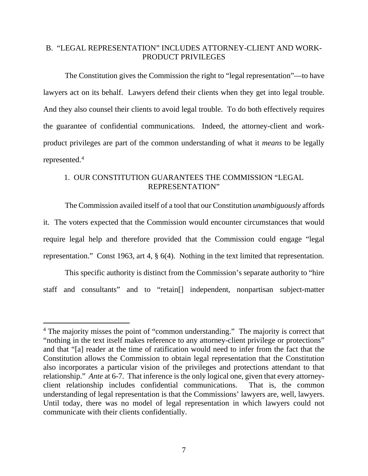## B. "LEGAL REPRESENTATION" INCLUDES ATTORNEY-CLIENT AND WORK-PRODUCT PRIVILEGES

The Constitution gives the Commission the right to "legal representation"—to have lawyers act on its behalf. Lawyers defend their clients when they get into legal trouble. And they also counsel their clients to avoid legal trouble. To do both effectively requires the guarantee of confidential communications. Indeed, the attorney-client and workproduct privileges are part of the common understanding of what it *means* to be legally represented.<sup>[4](#page-44-0)</sup>

## 1. OUR CONSTITUTION GUARANTEES THE COMMISSION "LEGAL REPRESENTATION"

The Commission availed itself of a tool that our Constitution *unambiguously* affords it. The voters expected that the Commission would encounter circumstances that would require legal help and therefore provided that the Commission could engage "legal representation." Const 1963, art 4, § 6(4). Nothing in the text limited that representation.

This specific authority is distinct from the Commission's separate authority to "hire staff and consultants" and to "retain[] independent, nonpartisan subject-matter

<span id="page-44-0"></span><sup>&</sup>lt;sup>4</sup> The majority misses the point of "common understanding." The majority is correct that "nothing in the text itself makes reference to any attorney-client privilege or protections" and that "[a] reader at the time of ratification would need to infer from the fact that the Constitution allows the Commission to obtain legal representation that the Constitution also incorporates a particular vision of the privileges and protections attendant to that relationship." *Ante* at 6-7. That inference is the only logical one, given that every attorneyclient relationship includes confidential communications. That is, the common understanding of legal representation is that the Commissions' lawyers are, well, lawyers. Until today, there was no model of legal representation in which lawyers could not communicate with their clients confidentially.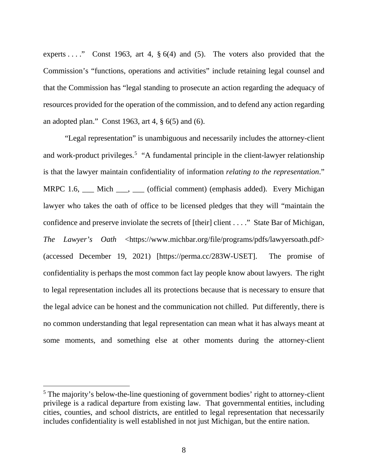experts . . . . . . Const 1963, art 4,  $\S 6(4)$  and (5). The voters also provided that the Commission's "functions, operations and activities" include retaining legal counsel and that the Commission has "legal standing to prosecute an action regarding the adequacy of resources provided for the operation of the commission, and to defend any action regarding an adopted plan." Const 1963, art 4, § 6(5) and (6).

"Legal representation" is unambiguous and necessarily includes the attorney-client and work-product privileges.<sup>[5](#page-45-0)</sup> "A fundamental principle in the client-lawyer relationship is that the lawyer maintain confidentiality of information *relating to the representation*." MRPC 1.6, \_\_ Mich \_\_\_, \_\_ (official comment) (emphasis added). Every Michigan lawyer who takes the oath of office to be licensed pledges that they will "maintain the confidence and preserve inviolate the secrets of [their] client . . . ." State Bar of Michigan, *The Lawyer's Oath* <https://www.michbar.org/file/programs/pdfs/lawyersoath.pdf> (accessed December 19, 2021) [https://perma.cc/283W-USET]. The promise of confidentiality is perhaps the most common fact lay people know about lawyers. The right to legal representation includes all its protections because that is necessary to ensure that the legal advice can be honest and the communication not chilled. Put differently, there is no common understanding that legal representation can mean what it has always meant at some moments, and something else at other moments during the attorney-client

<span id="page-45-0"></span><sup>&</sup>lt;sup>5</sup> The majority's below-the-line questioning of government bodies' right to attorney-client privilege is a radical departure from existing law. That governmental entities, including cities, counties, and school districts, are entitled to legal representation that necessarily includes confidentiality is well established in not just Michigan, but the entire nation.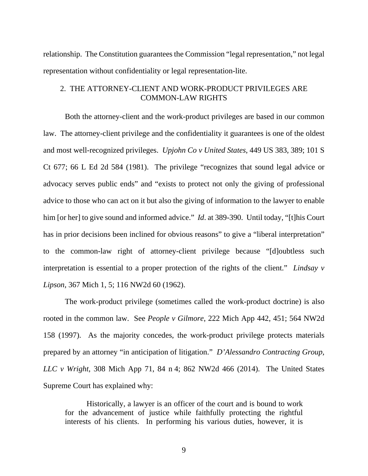relationship. The Constitution guarantees the Commission "legal representation," not legal representation without confidentiality or legal representation-lite.

## 2. THE ATTORNEY-CLIENT AND WORK-PRODUCT PRIVILEGES ARE COMMON-LAW RIGHTS

Both the attorney-client and the work-product privileges are based in our common law. The attorney-client privilege and the confidentiality it guarantees is one of the oldest and most well-recognized privileges. *Upjohn Co v United States*, 449 US 383, 389; 101 S Ct 677; 66 L Ed 2d 584 (1981). The privilege "recognizes that sound legal advice or advocacy serves public ends" and "exists to protect not only the giving of professional advice to those who can act on it but also the giving of information to the lawyer to enable him [or her] to give sound and informed advice." *Id.* at 389-390. Until today, "[t]his Court has in prior decisions been inclined for obvious reasons" to give a "liberal interpretation" to the common-law right of attorney-client privilege because "[d]oubtless such interpretation is essential to a proper protection of the rights of the client." *Lindsay v Lipson*, 367 Mich 1, 5; 116 NW2d 60 (1962).

The work-product privilege (sometimes called the work-product doctrine) is also rooted in the common law. See *People v Gilmore*, 222 Mich App 442, 451; 564 NW2d 158 (1997). As the majority concedes, the work-product privilege protects materials prepared by an attorney "in anticipation of litigation." *D'Alessandro Contracting Group, LLC v Wright*, 308 Mich App 71, 84 n 4; 862 NW2d 466 (2014). The United States Supreme Court has explained why:

Historically, a lawyer is an officer of the court and is bound to work for the advancement of justice while faithfully protecting the rightful interests of his clients. In performing his various duties, however, it is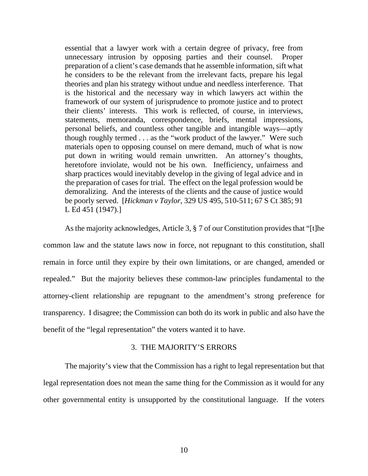essential that a lawyer work with a certain degree of privacy, free from unnecessary intrusion by opposing parties and their counsel. Proper preparation of a client's case demands that he assemble information, sift what he considers to be the relevant from the irrelevant facts, prepare his legal theories and plan his strategy without undue and needless interference. That is the historical and the necessary way in which lawyers act within the framework of our system of jurisprudence to promote justice and to protect their clients' interests. This work is reflected, of course, in interviews, statements, memoranda, correspondence, briefs, mental impressions, personal beliefs, and countless other tangible and intangible ways—aptly though roughly termed . . . as the "work product of the lawyer." Were such materials open to opposing counsel on mere demand, much of what is now put down in writing would remain unwritten. An attorney's thoughts, heretofore inviolate, would not be his own. Inefficiency, unfairness and sharp practices would inevitably develop in the giving of legal advice and in the preparation of cases for trial. The effect on the legal profession would be demoralizing. And the interests of the clients and the cause of justice would be poorly served. [*Hickman v Taylor*, 329 US 495, 510-511; 67 S Ct 385; 91 L Ed 451 (1947).]

As the majority acknowledges, Article 3, § 7 of our Constitution provides that "[t]he common law and the statute laws now in force, not repugnant to this constitution, shall remain in force until they expire by their own limitations, or are changed, amended or repealed." But the majority believes these common-law principles fundamental to the attorney-client relationship are repugnant to the amendment's strong preference for transparency. I disagree; the Commission can both do its work in public and also have the benefit of the "legal representation" the voters wanted it to have.

## 3. THE MAJORITY'S ERRORS

The majority's view that the Commission has a right to legal representation but that legal representation does not mean the same thing for the Commission as it would for any other governmental entity is unsupported by the constitutional language. If the voters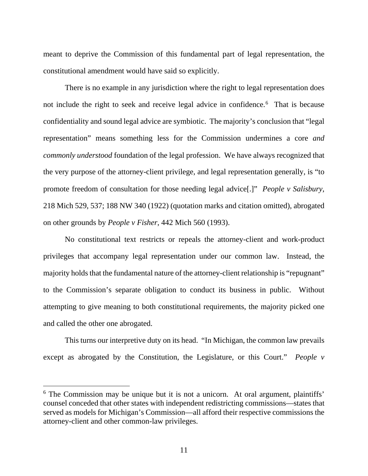meant to deprive the Commission of this fundamental part of legal representation, the constitutional amendment would have said so explicitly.

There is no example in any jurisdiction where the right to legal representation does not include the right to seek and receive legal advice in confidence.<sup>[6](#page-48-0)</sup> That is because confidentiality and sound legal advice are symbiotic. The majority's conclusion that "legal representation" means something less for the Commission undermines a core *and commonly understood* foundation of the legal profession. We have always recognized that the very purpose of the attorney-client privilege, and legal representation generally, is "to promote freedom of consultation for those needing legal advice[.]" *People v Salisbury*, 218 Mich 529, 537; 188 NW 340 (1922) (quotation marks and citation omitted), abrogated on other grounds by *People v Fisher*, 442 Mich 560 (1993).

No constitutional text restricts or repeals the attorney-client and work-product privileges that accompany legal representation under our common law. Instead, the majority holds that the fundamental nature of the attorney-client relationship is "repugnant" to the Commission's separate obligation to conduct its business in public. Without attempting to give meaning to both constitutional requirements, the majority picked one and called the other one abrogated.

This turns our interpretive duty on its head. "In Michigan, the common law prevails except as abrogated by the Constitution, the Legislature, or this Court." *People v* 

<span id="page-48-0"></span><sup>&</sup>lt;sup>6</sup> The Commission may be unique but it is not a unicorn. At oral argument, plaintiffs' counsel conceded that other states with independent redistricting commissions—states that served as models for Michigan's Commission—all afford their respective commissions the attorney-client and other common-law privileges.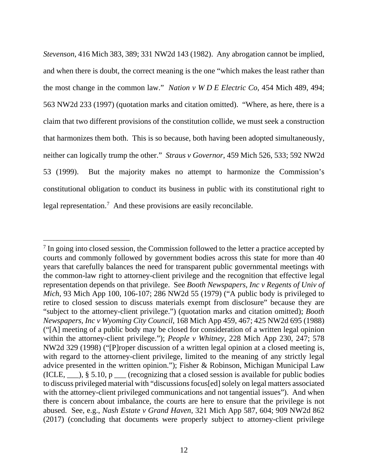*Stevenson*, 416 Mich 383, 389; 331 NW2d 143 (1982). Any abrogation cannot be implied, and when there is doubt, the correct meaning is the one "which makes the least rather than the most change in the common law." *Nation v W D E Electric Co*, 454 Mich 489, 494; 563 NW2d 233 (1997) (quotation marks and citation omitted). "Where, as here, there is a claim that two different provisions of the constitution collide, we must seek a construction that harmonizes them both. This is so because, both having been adopted simultaneously, neither can logically trump the other." *Straus v Governor*, 459 Mich 526, 533; 592 NW2d 53 (1999). But the majority makes no attempt to harmonize the Commission's constitutional obligation to conduct its business in public with its constitutional right to legal representation.<sup>[7](#page-49-0)</sup> And these provisions are easily reconcilable.

<span id="page-49-0"></span> $<sup>7</sup>$  In going into closed session, the Commission followed to the letter a practice accepted by</sup> courts and commonly followed by government bodies across this state for more than 40 years that carefully balances the need for transparent public governmental meetings with the common-law right to attorney-client privilege and the recognition that effective legal representation depends on that privilege. See *Booth Newspapers, Inc v Regents of Univ of Mich*, 93 Mich App 100, 106-107; 286 NW2d 55 (1979) ("A public body is privileged to retire to closed session to discuss materials exempt from disclosure" because they are "subject to the attorney-client privilege.") (quotation marks and citation omitted); *Booth Newspapers, Inc v Wyoming City Council*, 168 Mich App 459, 467; 425 NW2d 695 (1988) ("[A] meeting of a public body may be closed for consideration of a written legal opinion within the attorney-client privilege."); *People v Whitney*, 228 Mich App 230, 247; 578 NW2d 329 (1998) ("[P]roper discussion of a written legal opinion at a closed meeting is, with regard to the attorney-client privilege, limited to the meaning of any strictly legal advice presented in the written opinion."); Fisher & Robinson, Michigan Municipal Law (ICLE,  $\_\_\$ ), § 5.10, p  $\_\_\_\$  (recognizing that a closed session is available for public bodies to discuss privileged material with "discussions focus[ed] solely on legal matters associated with the attorney-client privileged communications and not tangential issues"). And when there is concern about imbalance, the courts are here to ensure that the privilege is not abused. See, e.g., *Nash Estate v Grand Haven*, 321 Mich App 587, 604; 909 NW2d 862 (2017) (concluding that documents were properly subject to attorney-client privilege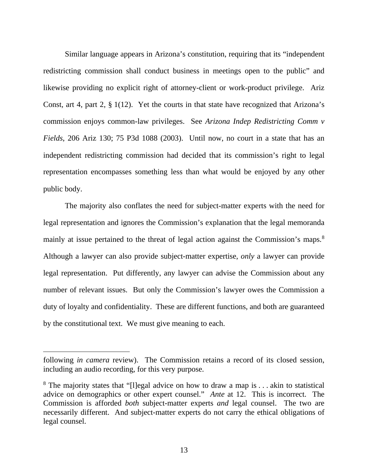Similar language appears in Arizona's constitution, requiring that its "independent redistricting commission shall conduct business in meetings open to the public" and likewise providing no explicit right of attorney-client or work-product privilege. Ariz Const, art 4, part 2, § 1(12). Yet the courts in that state have recognized that Arizona's commission enjoys common-law privileges. See *Arizona Indep Redistricting Comm v Fields*, 206 Ariz 130; 75 P3d 1088 (2003). Until now, no court in a state that has an independent redistricting commission had decided that its commission's right to legal representation encompasses something less than what would be enjoyed by any other public body.

The majority also conflates the need for subject-matter experts with the need for legal representation and ignores the Commission's explanation that the legal memoranda mainly at issue pertained to the threat of legal action against the Commission's maps.<sup>[8](#page-50-0)</sup> Although a lawyer can also provide subject-matter expertise, *only* a lawyer can provide legal representation. Put differently, any lawyer can advise the Commission about any number of relevant issues. But only the Commission's lawyer owes the Commission a duty of loyalty and confidentiality. These are different functions, and both are guaranteed by the constitutional text. We must give meaning to each.

following *in camera* review). The Commission retains a record of its closed session, including an audio recording, for this very purpose.

<span id="page-50-0"></span><sup>&</sup>lt;sup>8</sup> The majority states that "[l]egal advice on how to draw a map is . . . akin to statistical advice on demographics or other expert counsel." *Ante* at 12. This is incorrect. The Commission is afforded *both* subject-matter experts *and* legal counsel. The two are necessarily different. And subject-matter experts do not carry the ethical obligations of legal counsel.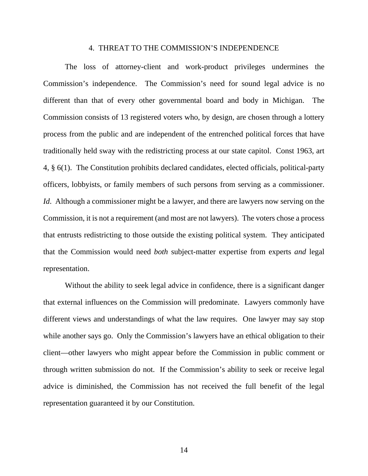#### 4. THREAT TO THE COMMISSION'S INDEPENDENCE

The loss of attorney-client and work-product privileges undermines the Commission's independence. The Commission's need for sound legal advice is no different than that of every other governmental board and body in Michigan. The Commission consists of 13 registered voters who, by design, are chosen through a lottery process from the public and are independent of the entrenched political forces that have traditionally held sway with the redistricting process at our state capitol. Const 1963, art 4, § 6(1). The Constitution prohibits declared candidates, elected officials, political-party officers, lobbyists, or family members of such persons from serving as a commissioner. *Id.* Although a commissioner might be a lawyer, and there are lawyers now serving on the Commission, it is not a requirement (and most are not lawyers). The voters chose a process that entrusts redistricting to those outside the existing political system. They anticipated that the Commission would need *both* subject-matter expertise from experts *and* legal representation.

Without the ability to seek legal advice in confidence, there is a significant danger that external influences on the Commission will predominate. Lawyers commonly have different views and understandings of what the law requires. One lawyer may say stop while another says go. Only the Commission's lawyers have an ethical obligation to their client—other lawyers who might appear before the Commission in public comment or through written submission do not. If the Commission's ability to seek or receive legal advice is diminished, the Commission has not received the full benefit of the legal representation guaranteed it by our Constitution.

14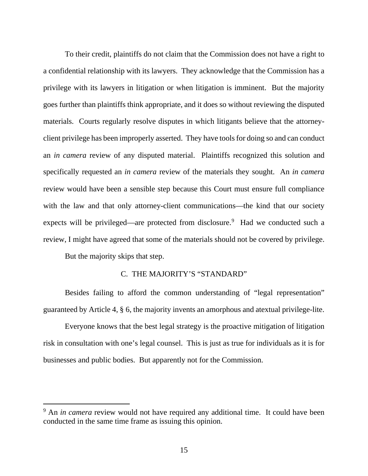To their credit, plaintiffs do not claim that the Commission does not have a right to a confidential relationship with its lawyers. They acknowledge that the Commission has a privilege with its lawyers in litigation or when litigation is imminent. But the majority goes further than plaintiffs think appropriate, and it does so without reviewing the disputed materials. Courts regularly resolve disputes in which litigants believe that the attorneyclient privilege has been improperly asserted. They have tools for doing so and can conduct an *in camera* review of any disputed material. Plaintiffs recognized this solution and specifically requested an *in camera* review of the materials they sought. An *in camera*  review would have been a sensible step because this Court must ensure full compliance with the law and that only attorney-client communications—the kind that our society expects will be privileged—are protected from disclosure.<sup>[9](#page-52-0)</sup> Had we conducted such a review, I might have agreed that some of the materials should not be covered by privilege.

But the majority skips that step.

#### C. THE MAJORITY'S "STANDARD"

Besides failing to afford the common understanding of "legal representation" guaranteed by Article 4, § 6, the majority invents an amorphous and atextual privilege-lite.

Everyone knows that the best legal strategy is the proactive mitigation of litigation risk in consultation with one's legal counsel. This is just as true for individuals as it is for businesses and public bodies. But apparently not for the Commission.

<span id="page-52-0"></span><sup>&</sup>lt;sup>9</sup> An *in camera* review would not have required any additional time. It could have been conducted in the same time frame as issuing this opinion.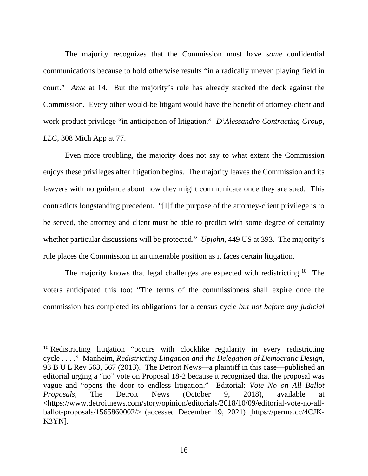The majority recognizes that the Commission must have *some* confidential communications because to hold otherwise results "in a radically uneven playing field in court." *Ante* at 14. But the majority's rule has already stacked the deck against the Commission. Every other would-be litigant would have the benefit of attorney-client and work-product privilege "in anticipation of litigation." *D'Alessandro Contracting Group, LLC*, 308 Mich App at 77.

Even more troubling, the majority does not say to what extent the Commission enjoys these privileges after litigation begins. The majority leaves the Commission and its lawyers with no guidance about how they might communicate once they are sued. This contradicts longstanding precedent. "[I]f the purpose of the attorney-client privilege is to be served, the attorney and client must be able to predict with some degree of certainty whether particular discussions will be protected." *Upjohn*, 449 US at 393. The majority's rule places the Commission in an untenable position as it faces certain litigation.

The majority knows that legal challenges are expected with redistricting.<sup>[10](#page-53-0)</sup> The voters anticipated this too: "The terms of the commissioners shall expire once the commission has completed its obligations for a census cycle *but not before any judicial* 

<span id="page-53-0"></span><sup>&</sup>lt;sup>10</sup> Redistricting litigation "occurs with clocklike regularity in every redistricting cycle . . . ." Manheim, *Redistricting Litigation and the Delegation of Democratic Design*, 93 B U L Rev 563, 567 (2013). The Detroit News—a plaintiff in this case—published an editorial urging a "no" vote on Proposal 18-2 because it recognized that the proposal was vague and "opens the door to endless litigation." Editorial: *Vote No on All Ballot Proposals*, The Detroit News (October 9, 2018), available at <https://www.detroitnews.com/story/opinion/editorials/2018/10/09/editorial-vote-no-allballot-proposals/1565860002/> (accessed December 19, 2021) [https://perma.cc/4CJK-K3YN].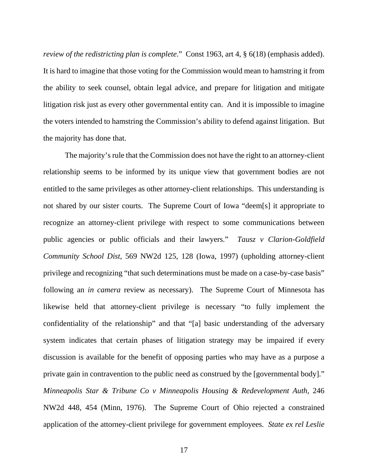*review of the redistricting plan is complete*." Const 1963, art 4, § 6(18) (emphasis added). It is hard to imagine that those voting for the Commission would mean to hamstring it from the ability to seek counsel, obtain legal advice, and prepare for litigation and mitigate litigation risk just as every other governmental entity can. And it is impossible to imagine the voters intended to hamstring the Commission's ability to defend against litigation. But the majority has done that.

The majority's rule that the Commission does not have the right to an attorney-client relationship seems to be informed by its unique view that government bodies are not entitled to the same privileges as other attorney-client relationships. This understanding is not shared by our sister courts. The Supreme Court of Iowa "deem[s] it appropriate to recognize an attorney-client privilege with respect to some communications between public agencies or public officials and their lawyers." *Tausz v Clarion-Goldfield Community School Dist*, 569 NW2d 125, 128 (Iowa, 1997) (upholding attorney-client privilege and recognizing "that such determinations must be made on a case-by-case basis" following an *in camera* review as necessary). The Supreme Court of Minnesota has likewise held that attorney-client privilege is necessary "to fully implement the confidentiality of the relationship" and that "[a] basic understanding of the adversary system indicates that certain phases of litigation strategy may be impaired if every discussion is available for the benefit of opposing parties who may have as a purpose a private gain in contravention to the public need as construed by the [governmental body]." *Minneapolis Star & Tribune Co v Minneapolis Housing & Redevelopment Auth*, 246 NW2d 448, 454 (Minn, 1976). The Supreme Court of Ohio rejected a constrained application of the attorney-client privilege for government employees. *State ex rel Leslie*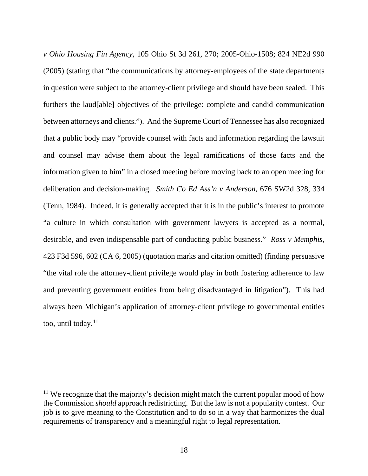*v Ohio Housing Fin Agency*, 105 Ohio St 3d 261, 270; 2005-Ohio-1508; 824 NE2d 990 (2005) (stating that "the communications by attorney-employees of the state departments in question were subject to the attorney-client privilege and should have been sealed. This furthers the laud[able] objectives of the privilege: complete and candid communication between attorneys and clients."). And the Supreme Court of Tennessee has also recognized that a public body may "provide counsel with facts and information regarding the lawsuit and counsel may advise them about the legal ramifications of those facts and the information given to him" in a closed meeting before moving back to an open meeting for deliberation and decision-making. *Smith Co Ed Ass'n v Anderson*, 676 SW2d 328, 334 (Tenn, 1984). Indeed, it is generally accepted that it is in the public's interest to promote "a culture in which consultation with government lawyers is accepted as a normal, desirable, and even indispensable part of conducting public business." *Ross v Memphis*, 423 F3d 596, 602 (CA 6, 2005) (quotation marks and citation omitted) (finding persuasive "the vital role the attorney-client privilege would play in both fostering adherence to law and preventing government entities from being disadvantaged in litigation"). This had always been Michigan's application of attorney-client privilege to governmental entities too, until today.<sup>[11](#page-55-0)</sup>

<span id="page-55-0"></span> $11$  We recognize that the majority's decision might match the current popular mood of how the Commission *should* approach redistricting. But the law is not a popularity contest. Our job is to give meaning to the Constitution and to do so in a way that harmonizes the dual requirements of transparency and a meaningful right to legal representation.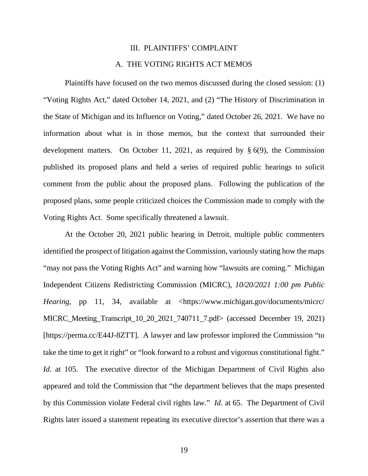#### III. PLAINTIFFS' COMPLAINT

#### A. THE VOTING RIGHTS ACT MEMOS

Plaintiffs have focused on the two memos discussed during the closed session: (1) "Voting Rights Act," dated October 14, 2021, and (2) "The History of Discrimination in the State of Michigan and its Influence on Voting," dated October 26, 2021. We have no information about what is in those memos, but the context that surrounded their development matters. On October 11, 2021, as required by § 6(9), the Commission published its proposed plans and held a series of required public hearings to solicit comment from the public about the proposed plans. Following the publication of the proposed plans, some people criticized choices the Commission made to comply with the Voting Rights Act. Some specifically threatened a lawsuit.

At the October 20, 2021 public hearing in Detroit, multiple public commenters identified the prospect of litigation against the Commission, variously stating how the maps "may not pass the Voting Rights Act" and warning how "lawsuits are coming." Michigan Independent Citizens Redistricting Commission (MICRC), *10/20/2021 1:00 pm Public Hearing*, pp 11, 34, available at <https://www.michigan.gov/documents/micrc/ MICRC\_Meeting\_Transcript\_10\_20\_2021\_740711\_7.pdf> (accessed December 19, 2021) [https://perma.cc/E44J-8ZTT]. A lawyer and law professor implored the Commission "to take the time to get it right" or "look forward to a robust and vigorous constitutional fight." *Id.* at 105. The executive director of the Michigan Department of Civil Rights also appeared and told the Commission that "the department believes that the maps presented by this Commission violate Federal civil rights law." *Id*. at 65. The Department of Civil Rights later issued a statement repeating its executive director's assertion that there was a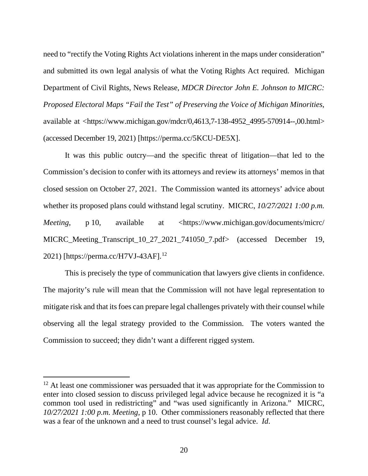need to "rectify the Voting Rights Act violations inherent in the maps under consideration" and submitted its own legal analysis of what the Voting Rights Act required. Michigan Department of Civil Rights, News Release, *MDCR Director John E. Johnson to MICRC: Proposed Electoral Maps "Fail the Test" of Preserving the Voice of Michigan Minorities*, available at <https://www.michigan.gov/mdcr/0,4613,7-138-4952\_4995-570914--,00.html> (accessed December 19, 2021) [https://perma.cc/5KCU-DE5X].

It was this public outcry—and the specific threat of litigation—that led to the Commission's decision to confer with its attorneys and review its attorneys' memos in that closed session on October 27, 2021. The Commission wanted its attorneys' advice about whether its proposed plans could withstand legal scrutiny. MICRC, *10/27/2021 1:00 p.m. Meeting*, p 10, available at <https://www.michigan.gov/documents/micrc/ MICRC\_Meeting\_Transcript\_10\_27\_2021\_741050\_7.pdf> (accessed December 19, 2021) [https://perma.cc/H7VJ-43AF].<sup>12</sup>

This is precisely the type of communication that lawyers give clients in confidence. The majority's rule will mean that the Commission will not have legal representation to mitigate risk and that its foes can prepare legal challenges privately with their counsel while observing all the legal strategy provided to the Commission. The voters wanted the Commission to succeed; they didn't want a different rigged system.

<span id="page-57-0"></span><sup>&</sup>lt;sup>12</sup> At least one commissioner was persuaded that it was appropriate for the Commission to enter into closed session to discuss privileged legal advice because he recognized it is "a common tool used in redistricting" and "was used significantly in Arizona." MICRC, *10/27/2021 1:00 p.m. Meeting*, p 10. Other commissioners reasonably reflected that there was a fear of the unknown and a need to trust counsel's legal advice. *Id*.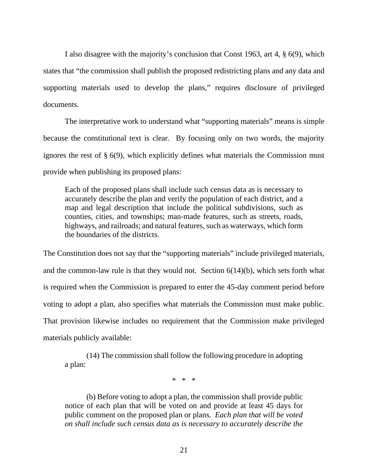I also disagree with the majority's conclusion that Const 1963, art 4, § 6(9), which states that "the commission shall publish the proposed redistricting plans and any data and supporting materials used to develop the plans," requires disclosure of privileged documents.

The interpretative work to understand what "supporting materials" means is simple because the constitutional text is clear. By focusing only on two words, the majority ignores the rest of § 6(9), which explicitly defines what materials the Commission must provide when publishing its proposed plans:

Each of the proposed plans shall include such census data as is necessary to accurately describe the plan and verify the population of each district, and a map and legal description that include the political subdivisions, such as counties, cities, and townships; man-made features, such as streets, roads, highways, and railroads; and natural features, such as waterways, which form the boundaries of the districts.

The Constitution does not say that the "supporting materials" include privileged materials, and the common-law rule is that they would not. Section  $6(14)(b)$ , which sets forth what is required when the Commission is prepared to enter the 45-day comment period before voting to adopt a plan, also specifies what materials the Commission must make public. That provision likewise includes no requirement that the Commission make privileged materials publicly available:

(14) The commission shall follow the following procedure in adopting a plan:

\* \* \*

(b) Before voting to adopt a plan, the commission shall provide public notice of each plan that will be voted on and provide at least 45 days for public comment on the proposed plan or plans. *Each plan that will be voted on shall include such census data as is necessary to accurately describe the*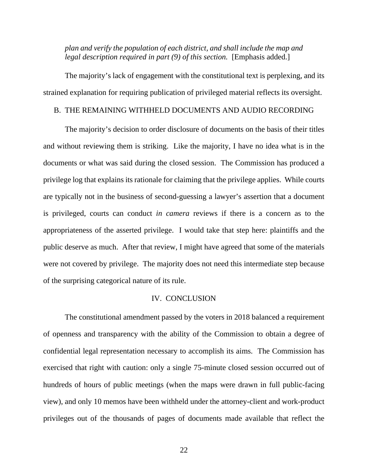*plan and verify the population of each district, and shall include the map and legal description required in part (9) of this section.* [Emphasis added.]

The majority's lack of engagement with the constitutional text is perplexing, and its strained explanation for requiring publication of privileged material reflects its oversight.

## B. THE REMAINING WITHHELD DOCUMENTS AND AUDIO RECORDING

The majority's decision to order disclosure of documents on the basis of their titles and without reviewing them is striking. Like the majority, I have no idea what is in the documents or what was said during the closed session. The Commission has produced a privilege log that explains its rationale for claiming that the privilege applies. While courts are typically not in the business of second-guessing a lawyer's assertion that a document is privileged, courts can conduct *in camera* reviews if there is a concern as to the appropriateness of the asserted privilege. I would take that step here: plaintiffs and the public deserve as much. After that review, I might have agreed that some of the materials were not covered by privilege. The majority does not need this intermediate step because of the surprising categorical nature of its rule.

#### IV. CONCLUSION

The constitutional amendment passed by the voters in 2018 balanced a requirement of openness and transparency with the ability of the Commission to obtain a degree of confidential legal representation necessary to accomplish its aims. The Commission has exercised that right with caution: only a single 75-minute closed session occurred out of hundreds of hours of public meetings (when the maps were drawn in full public-facing view), and only 10 memos have been withheld under the attorney-client and work-product privileges out of the thousands of pages of documents made available that reflect the

22